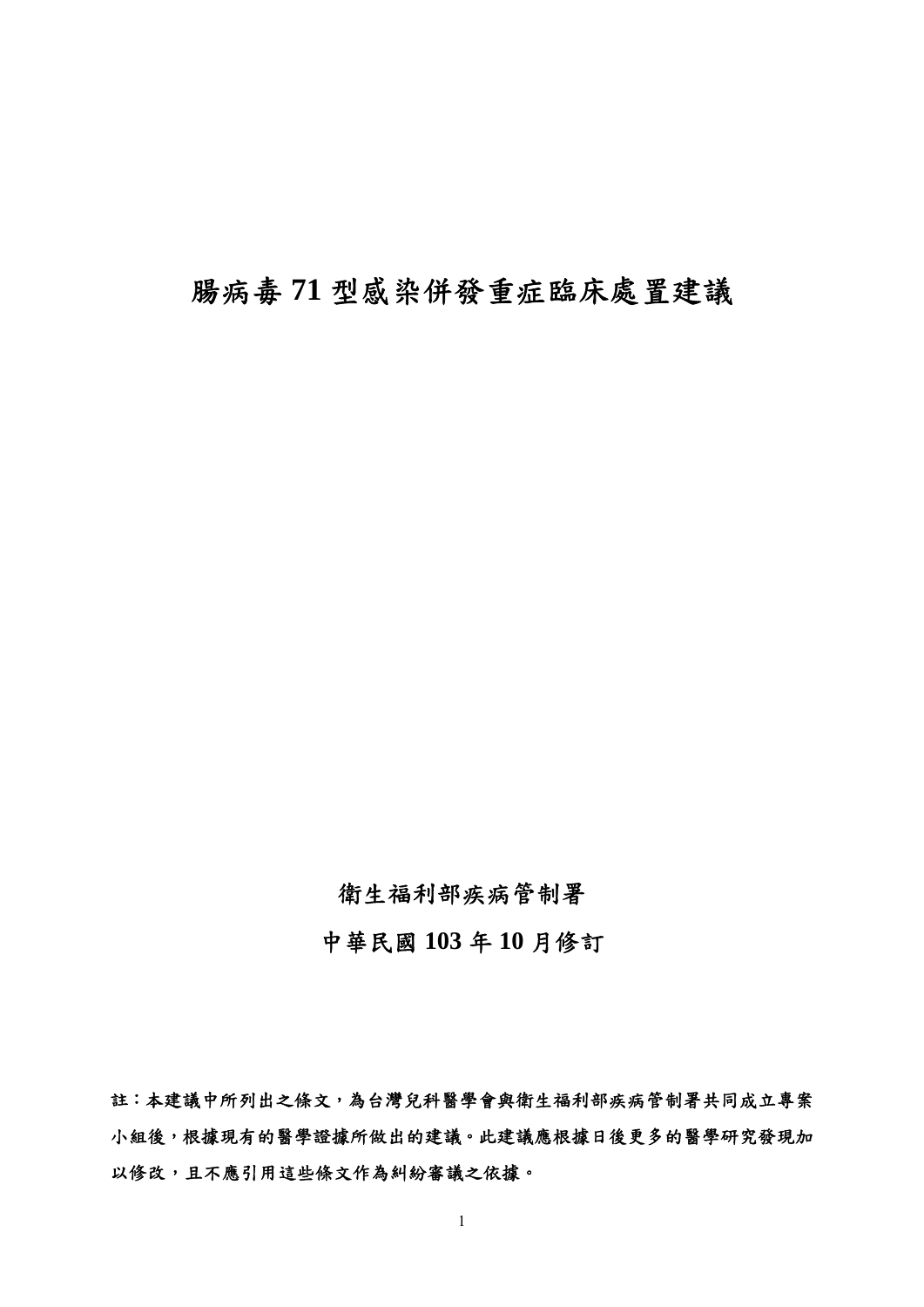# 腸病毒 **71** 型感染併發重症臨床處置建議

## 衛生福利部疾病管制署

中華民國 **103** 年 **10** 月修訂

註:本建議中所列出之條文,為台灣兒科醫學會與衛生福利部疾病管制署共同成立專案 小組後,根據現有的醫學證據所做出的建議。此建議應根據日後更多的醫學研究發現加 以修改,且不應引用這些條文作為糾紛審議之依據。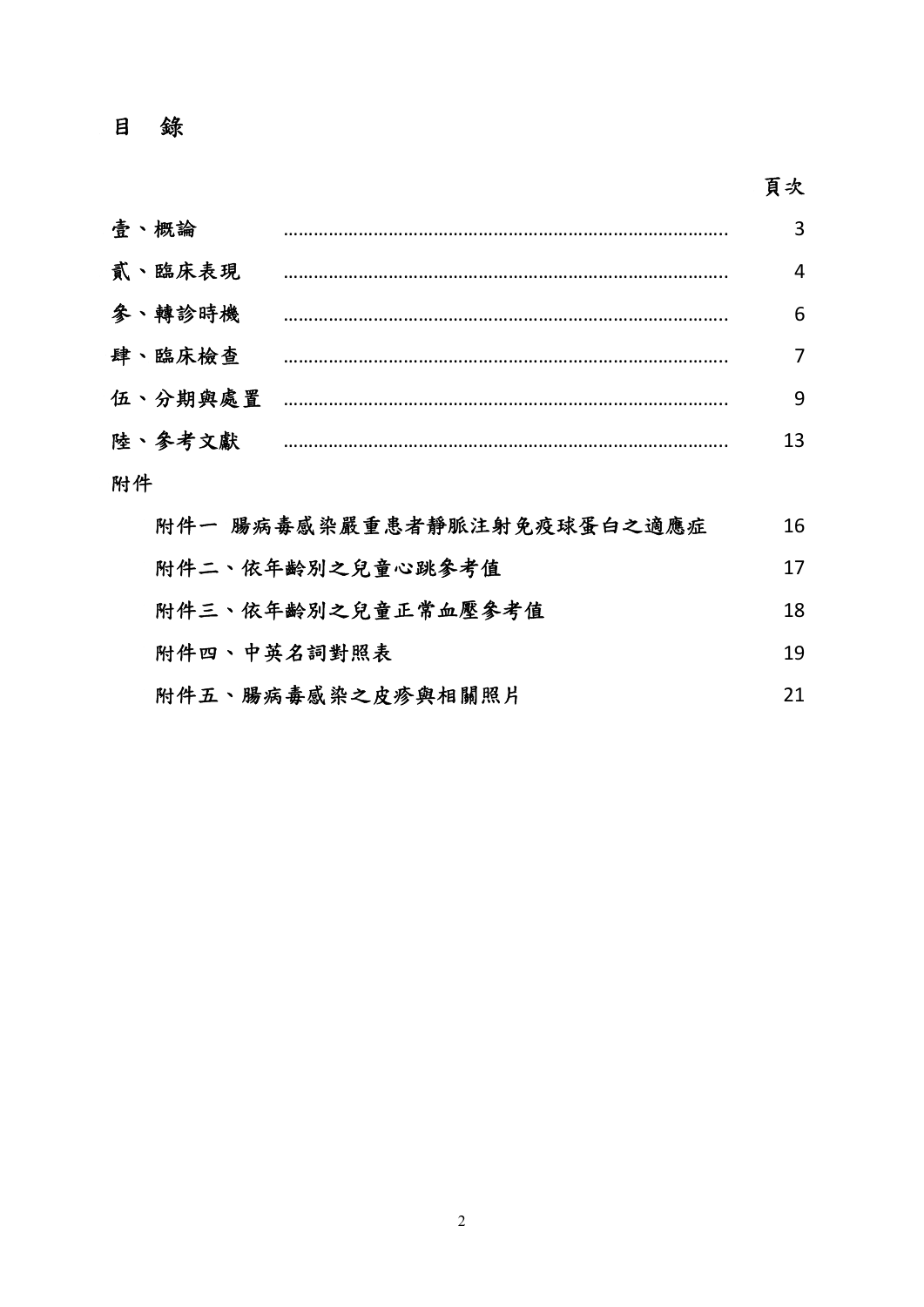## 目 錄

# 頁次

|    | 壹、概論    | --------------------------------- | 3              |
|----|---------|-----------------------------------|----------------|
|    | 貳、臨床表現  |                                   | 4              |
|    | 參、轉診時機  |                                   | 6              |
|    | 肆、臨床檢查  |                                   | $\overline{7}$ |
|    | 伍、分期與處置 |                                   | 9              |
|    | 陸、參考文獻  |                                   | 13             |
| 附件 |         |                                   |                |
|    |         | 附件一 腸病毒感染嚴重患者靜脈注射免疫球蛋白之適應症        | 16             |

| 附件二、依年齡別之兒童心跳參考值   | 17  |
|--------------------|-----|
| 附件三、依年齡別之兒童正常血壓參考值 | 18. |
| 附件四、中英名詞對照表        | 19  |

|  | 附件五、腸病毒感染之皮疹與相關照片 |  |
|--|-------------------|--|
|--|-------------------|--|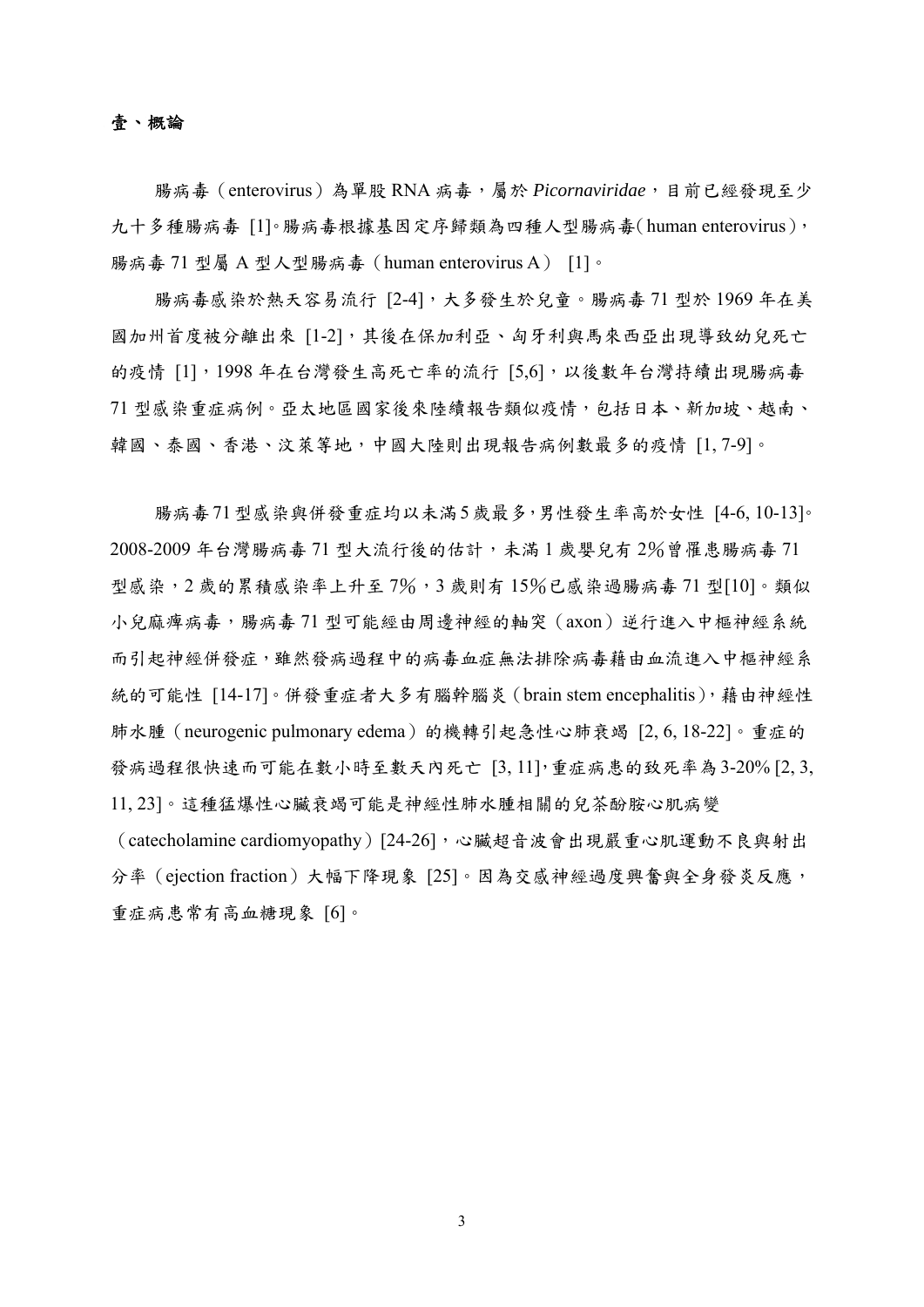### 壹、概論

腸病毒(enterovirus)為單股 RNA 病毒,屬於 *Picornaviridae*,目前已經發現至少 九十多種腸病毒「1]。腸病毒根據基因定序歸類為四種人型腸病毒(human enterovirus), 腸病毒 71 型屬 A 型人型腸病毒(human enterovirus A) [1]。

腸病毒感染於熱天容易流行 [2-4],大多發生於兒童。腸病毒 71 型於 1969 年在美 國加州首度被分離出來 [1-2],其後在保加利亞、匈牙利與馬來西亞出現導致幼兒死亡 的疫情 [1], 1998年在台灣發生高死亡率的流行 [5,6], 以後數年台灣持續出現腸病毒 71 型感染重症病例。亞太地區國家後來陸續報告類似疫情,包括日本、新加坡、越南、 韓國、泰國、香港、汶萊等地,中國大陸則出現報告病例數最多的疫情 [1, 7-9]。

腸病毒71型感染與併發重症均以未滿5歲最多,男性發生率高於女性 [4-6, 10-13]。 2008-2009 年台灣腸病毒 71 型大流行後的估計,未滿 1 歲嬰兒有 2%曾罹患腸病毒 71 型感染,2 歲的累積感染率上升至 7%,3 歲則有 15%已感染過腸病毒 71 型[10]。類似 小兒麻痺病毒,腸病毒 71 型可能經由周邊神經的軸突 (axon)逆行進入中樞神經系統 而引起神經併發症,雖然發病過程中的病毒血症無法排除病毒藉由血流進入中樞神經系 統的可能性 [14-17]。併發重症者大多有腦幹腦炎 (brain stem encephalitis), 藉由神經性 肺水腫(neurogenic pulmonary edema)的機轉引起急性心肺衰竭 [2, 6, 18-22]。重症的 發病過程很快速而可能在數小時至數天內死亡 [3,11],重症病患的致死率為3-20% [2,3, 11, 23]。這種猛爆性心臟衰竭可能是神經性肺水腫相關的兒茶酚胺心肌病變

(catecholamine cardiomyopathy)[24-26],心臟超音波會出現嚴重心肌運動不良與射出 分率(ejection fraction)大幅下降現象 [25]。因為交感神經過度興奮與全身發炎反應, 重症病患常有高血糖現象 [6]。

3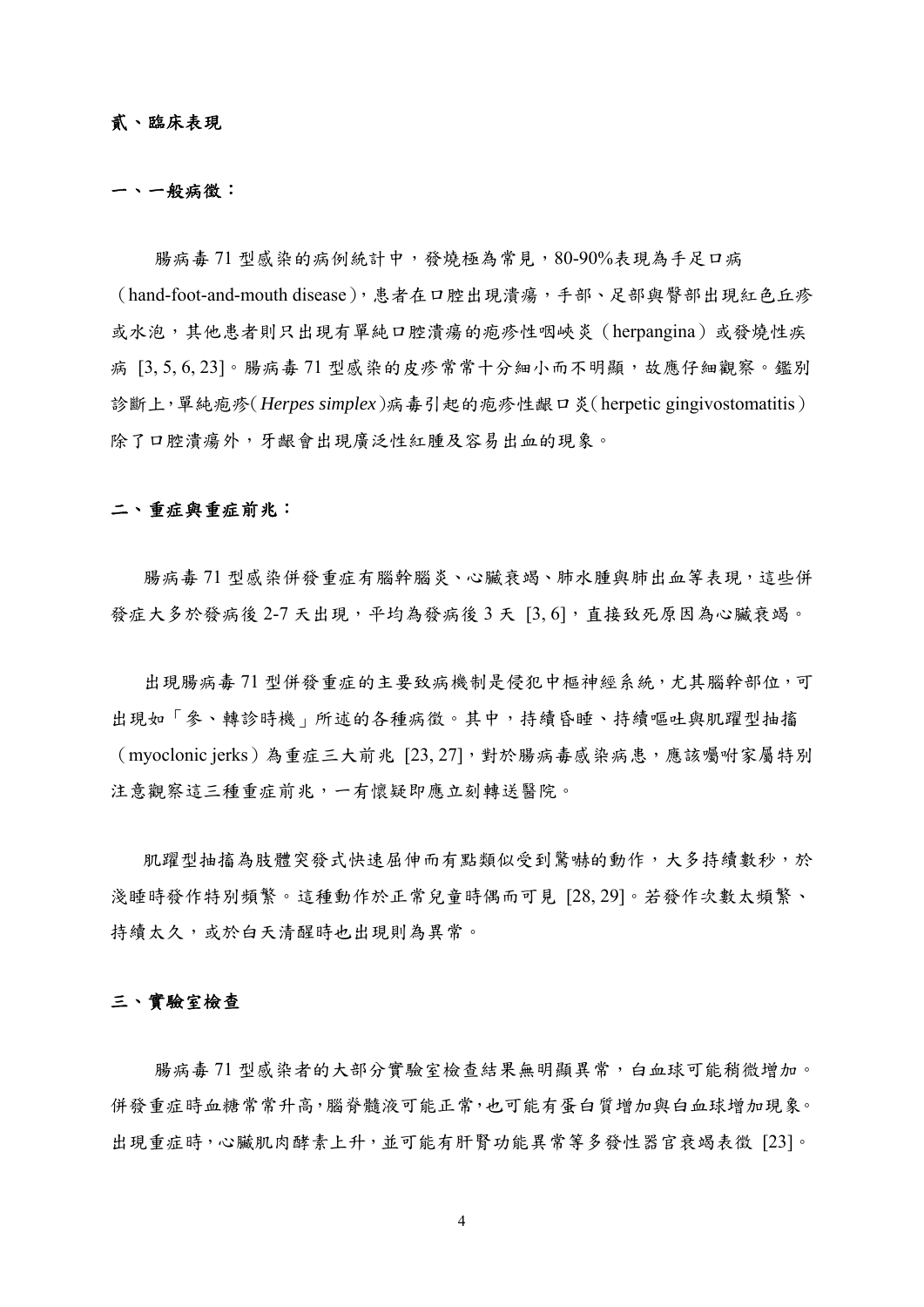### 貳、臨床表現

#### 一、一般病徵:

腸病毒 71 型感染的病例統計中,發燒極為常見,80-90%表現為手足口病 (hand-foot-and-mouth disease),患者在口腔出現潰瘍,手部、足部與臀部出現紅色丘疹 或水泡,其他患者則只出現有單純口腔潰瘍的疱疹性咽峽炎(herpangina)或發燒性疾 病 [3,5,6,23]。腸病毒 71 型感染的皮疹常常十分細小而不明顯,故應仔細觀察。鑑別 診斷上,單純疱疹(*Herpes simplex*)病毒引起的疱疹性齦口炎(herpetic gingivostomatitis) 除了口腔潰瘍外,牙齦會出現廣泛性紅腫及容易出血的現象。

### 二、重症與重症前兆:

腸病毒 71 型感染併發重症有腦幹腦炎、心臟衰竭、肺水腫與肺出血等表現,這些併 發症大多於發病後 2-7 天出現,平均為發病後 3 天 [3,6],直接致死原因為心臟衰竭。

出現腸病毒 71 型併發重症的主要致病機制是侵犯中樞神經系統,尤其腦幹部位,可 出現如「參、轉診時機」所述的各種病徵。其中,持續昏睡、持續嘔吐與肌躍型抽搐 (myoclonic jerks)為重症三大前兆 [23,27],對於腸病毒感染病患,應該囑咐家屬特別 注意觀察這三種重症前兆,一有懷疑即應立刻轉送醫院。

肌躍型抽搐為肢體突發式快速屈伸而有點類似受到驚嚇的動作,大多持續數秒,於 淺睡時發作特別頻繁。這種動作於正常兒童時偶而可見 [28, 29]。若發作次數太頻繁、 持續太久,或於白天清醒時也出現則為異常。

#### 三、實驗室檢查

腸病毒 71 型感染者的大部分實驗室檢查結果無明顯異常,白血球可能稍微增加。 併發重症時血糖常常升高,腦脊髓液可能正常,也可能有蛋白質增加與白血球增加現象。 出現重症時,心臟肌肉酵素上升,並可能有肝腎功能異常等多發性器官衰竭表徵 [23]。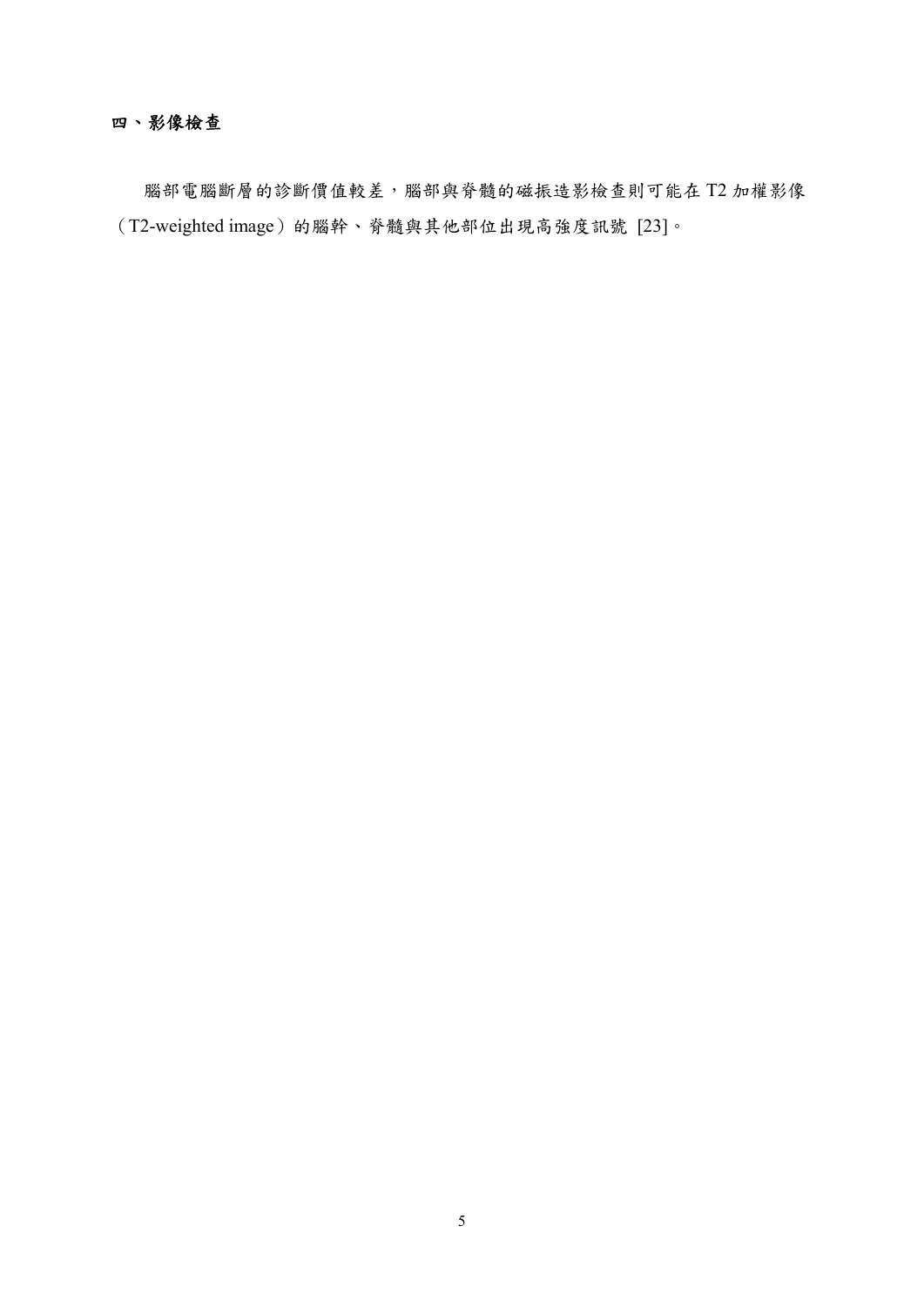### 四、影像檢查

腦部電腦斷層的診斷價值較差,腦部與脊髓的磁振造影檢查則可能在 T2 加權影像  $(T2$ -weighted image)的腦幹、脊髓與其他部位出現高強度訊號  $[23]$ 。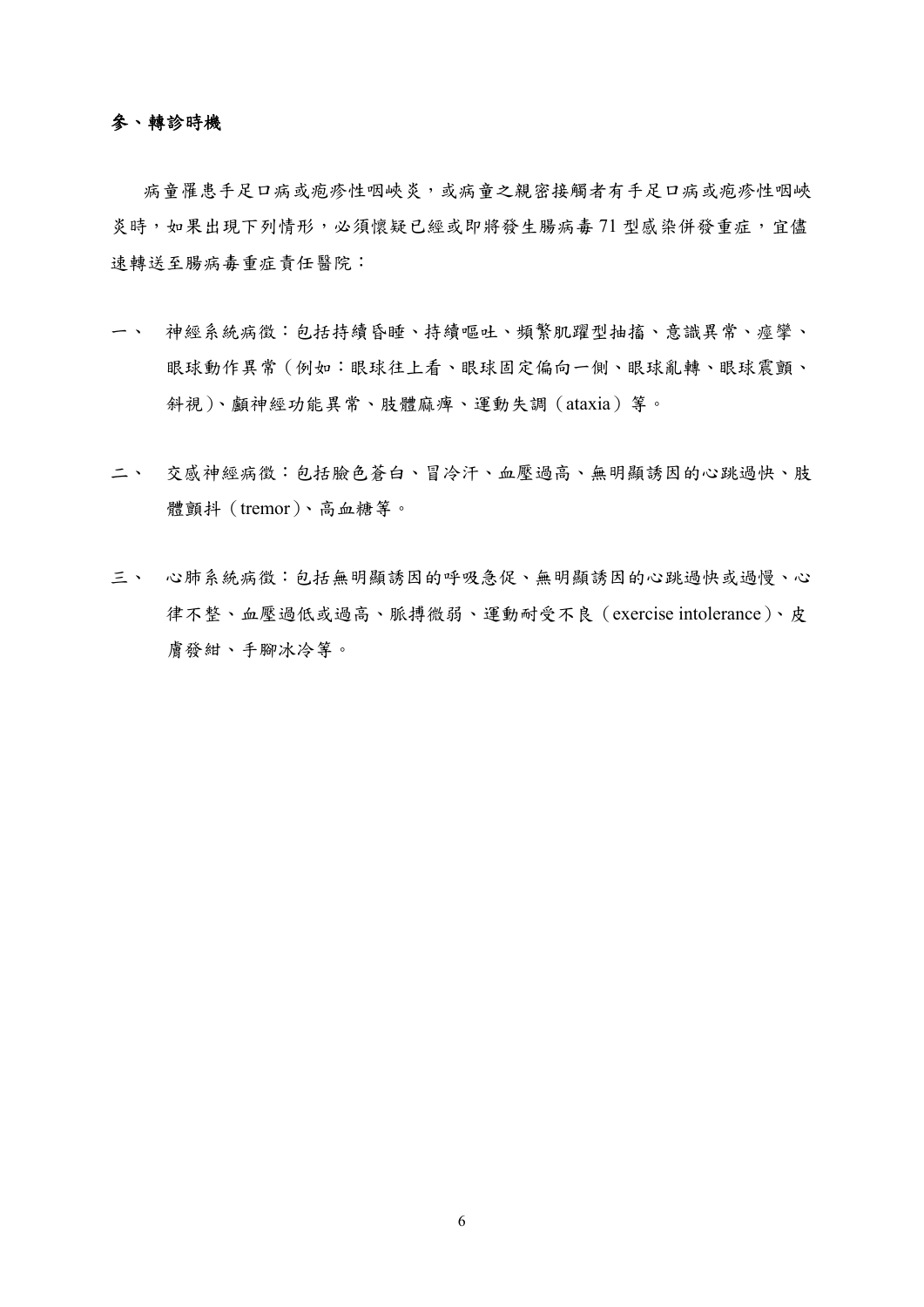### 參、轉診時機

病童罹患手足口病或疱疹性咽峽炎,或病童之親密接觸者有手足口病或疱疹性咽峽 炎時,如果出現下列情形,必須懷疑已經或即將發生腸病毒 71 型感染併發重症,宜儘 速轉送至腸病毒重症責任醫院:

- 一、 神經系統病徵:包括持續昏睡、持續嘔吐、頻繁肌躍型抽搐、意識異常、痙攣、 眼球動作異常(例如:眼球往上看、眼球固定偏向一側、眼球亂轉、眼球震顫、 斜視)、顱神經功能異常、肢體麻痺、運動失調(ataxia)等。
- 二、 交感神經病徵:包括臉色蒼白、冒冷汗、血壓過高、無明顯誘因的心跳過快、肢 體顫抖(tremor)、高血糖等。
- 三、 心肺系統病徵:包括無明顯誘因的呼吸急促、無明顯誘因的心跳過快或過慢、心 律不整、血壓過低或過高、脈搏微弱、運動耐受不良(exercise intolerance)、皮 膚發紺、手腳冰冷等。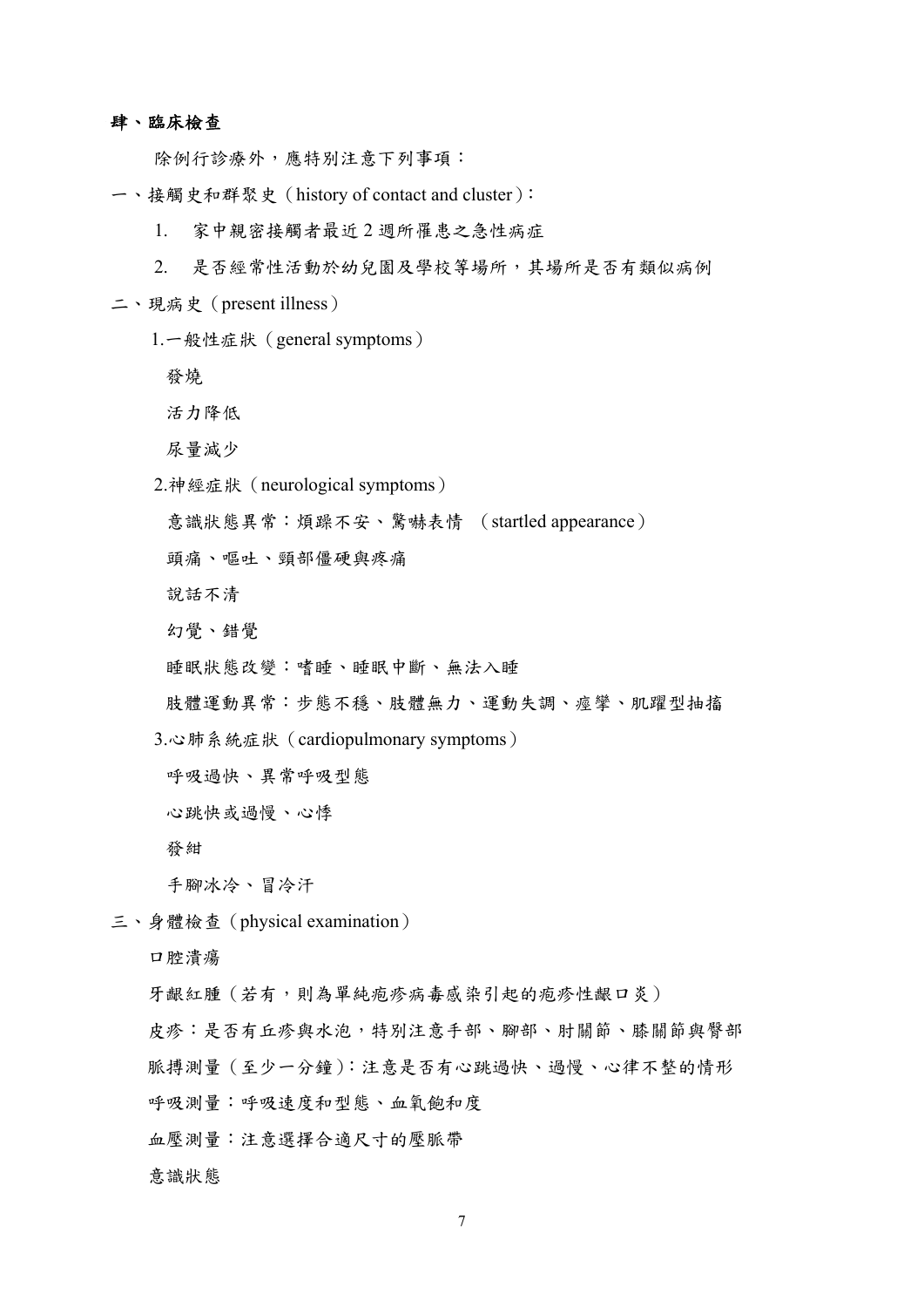#### 肆、臨床檢查

除例行診療外,應特別注意下列事項:

- 一、接觸史和群聚史(history of contact and cluster):
	- 1. 家中親密接觸者最近 2 週所罹患之急性病症
	- 2. 是否經常性活動於幼兒園及學校等場所,其場所是否有類似病例
- 二、現病史(present illness)
	- 1.一般性症狀(general symptoms)
		- 發燒
		- 活力降低
		- 尿量減少
	- 2.神經症狀(neurological symptoms)
		- 意識狀態異常:煩躁不安、驚嚇表情 (startled appearance)
		- 頭痛、嘔吐、頸部僵硬與疼痛
		- 說話不清
		- 幻覺、錯覺
		- 睡眠狀態改變:嗜睡、睡眠中斷、無法入睡
	- 肢體運動異常:步態不穩、肢體無力、運動失調、痙攣、肌躍型抽搐
	- 3.心肺系統症狀(cardiopulmonary symptoms)
		- 呼吸過快、異常呼吸型態
		- 心跳快或過慢、心悸
		- 發紺

手腳冰冷、冒冷汗

三、身體檢查(physical examination)

口腔潰瘍

- 牙齦紅腫(若有,則為單純疱疹病毒感染引起的疱疹性齦口炎)
- 皮疹:是否有丘疹與水泡,特別注意手部、腳部、肘關節、膝關節與臀部
- 脈搏測量(至少一分鐘):注意是否有心跳過快、過慢、心律不整的情形
- 呼吸測量:呼吸速度和型態、血氧飽和度
- 血壓測量:注意選擇合適尺寸的壓脈帶
- 意識狀態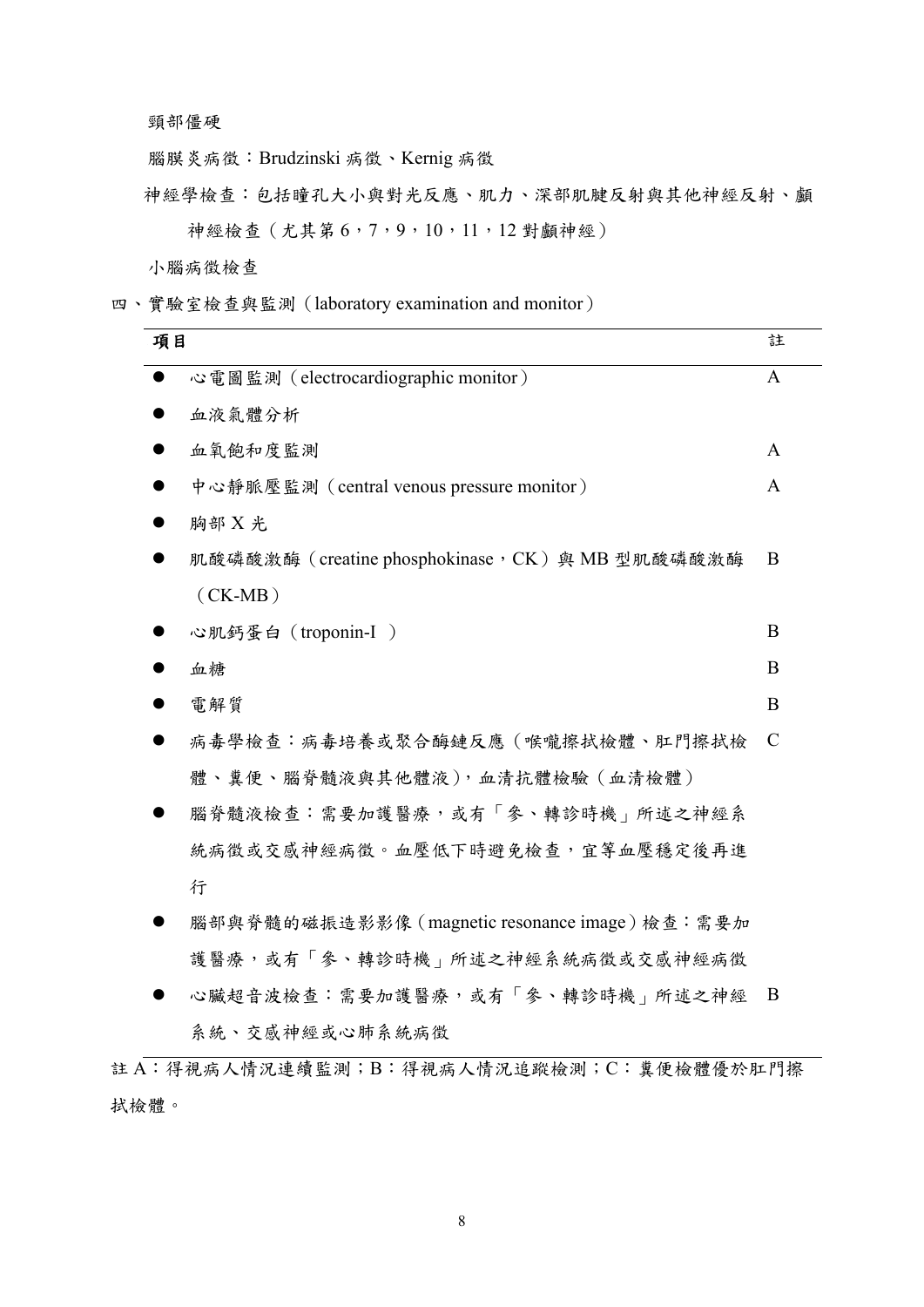頸部僵硬

腦膜炎病徵:Brudzinski 病徵、Kernig 病徵

神經學檢查:包括瞳孔大小與對光反應、肌力、深部肌腱反射與其他神經反射、顱 神經檢查(尤其第 6,7,9,10,11,12 對顱神經)

小腦病徵檢查

四、實驗室檢查與監測(laboratory examination and monitor)

| 項目 |                                                  | 註             |
|----|--------------------------------------------------|---------------|
|    | 心電圖監測 (electrocardiographic monitor)             | $\mathbf{A}$  |
|    | 血液氣體分析                                           |               |
|    | 血氧飽和度監測                                          | A             |
|    | 中心静脈壓監測 (central venous pressure monitor)        | A             |
|    | 胸部X光                                             |               |
|    | 肌酸磷酸激酶 (creatine phosphokinase, CK) 與 MB 型肌酸磷酸激酶 | B             |
|    | $(CK-MB)$                                        |               |
|    | 心肌鈣蛋白 (troponin-I)                               | B             |
|    | 血糖                                               | B             |
|    | 電解質                                              | B             |
|    | 病毒學檢查:病毒培養或聚合酶鏈反應(喉嚨擦拭檢體、肛門擦拭檢                   | $\mathcal{C}$ |
|    | 體、糞便、腦脊髓液與其他體液),血清抗體檢驗(血清檢體)                     |               |
|    | 腦脊髓液檢查:需要加護醫療,或有「參、轉診時機」所述之神經系                   |               |
|    | 統病徵或交感神經病徵。血壓低下時避免檢查,宜等血壓穩定後再進                   |               |
|    | 行                                                |               |
|    | 腦部與脊髓的磁振造影影像 (magnetic resonance image) 檢查:需要加   |               |
|    | 護醫療,或有「參、轉診時機」所述之神經系統病徵或交感神經病徵                   |               |
|    | 心臟超音波檢查:需要加護醫療,或有「參、轉診時機」所述之神經                   | B             |
|    | 系統、交感神經或心肺系統病徵                                   |               |

註 A:得視病人情況連續監測;B:得視病人情況追蹤檢測;C:糞便檢體優於肛門擦 拭檢體。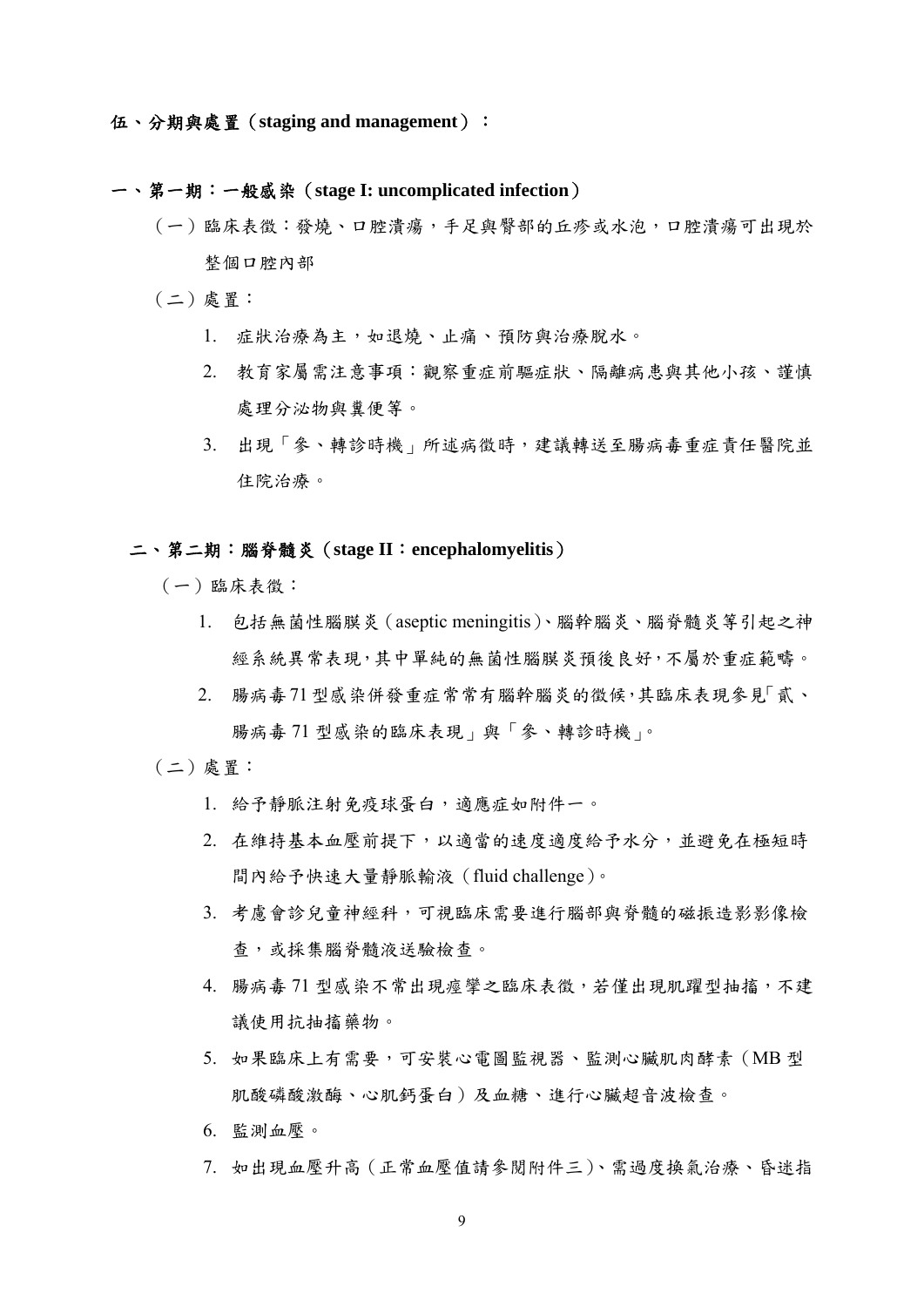### 一、第一期:一般感染(**stage I: uncomplicated infection**)

- (一)臨床表徵:發燒、口腔潰瘍,手足與臀部的丘疹或水泡,口腔潰瘍可出現於 整個口腔內部
- (二)處置:
	- 1. 症狀治療為主,如退燒、止痛、預防與治療脫水。
	- 2. 教育家屬需注意事項:觀察重症前驅症狀、隔離病患與其他小孩、謹慎 處理分泌物與糞便等。
	- 3. 出現「參、轉診時機」所述病徵時,建議轉送至腸病毒重症責任醫院並 住院治療。

#### 二、第二期:腦脊髓炎(**stage II**:**encephalomyelitis**)

- (一)臨床表徵:
	- 1. 包括無菌性腦膜炎(aseptic meningitis)、腦幹腦炎、腦脊髓炎等引起之神 經系統異常表現,其中單純的無菌性腦膜炎預後良好,不屬於重症範疇。
	- 2. 腸病毒71型感染併發重症常常有腦幹腦炎的徵候,其臨床表現參見「貳、 腸病毒 71 型感染的臨床表現」與「參、轉診時機」。

(二)處置:

- 1. 給予靜脈注射免疫球蛋白,適應症如附件一。
- 2. 在維持基本血壓前提下,以適當的速度適度給予水分,並避免在極短時 間內給予快速大量靜脈輸液(fluid challenge)。
- 3. 考慮會診兒童神經科,可視臨床需要進行腦部與脊髓的磁振造影影像檢 查,或採集腦脊髓液送驗檢查。
- 4. 腸病毒 71 型感染不常出現痙攣之臨床表徵,若僅出現肌躍型抽搐,不建 議使用抗抽搐藥物。
- 5. 如果臨床上有需要,可安裝心電圖監視器、監測心臟肌肉酵素(MB 型 肌酸磷酸激酶、心肌鈣蛋白)及血糖、進行心臟超音波檢查。
- 6. 監測血壓。
- 7. 如出現血壓升高(正常血壓值請參閱附件三)、需過度換氣治療、昏迷指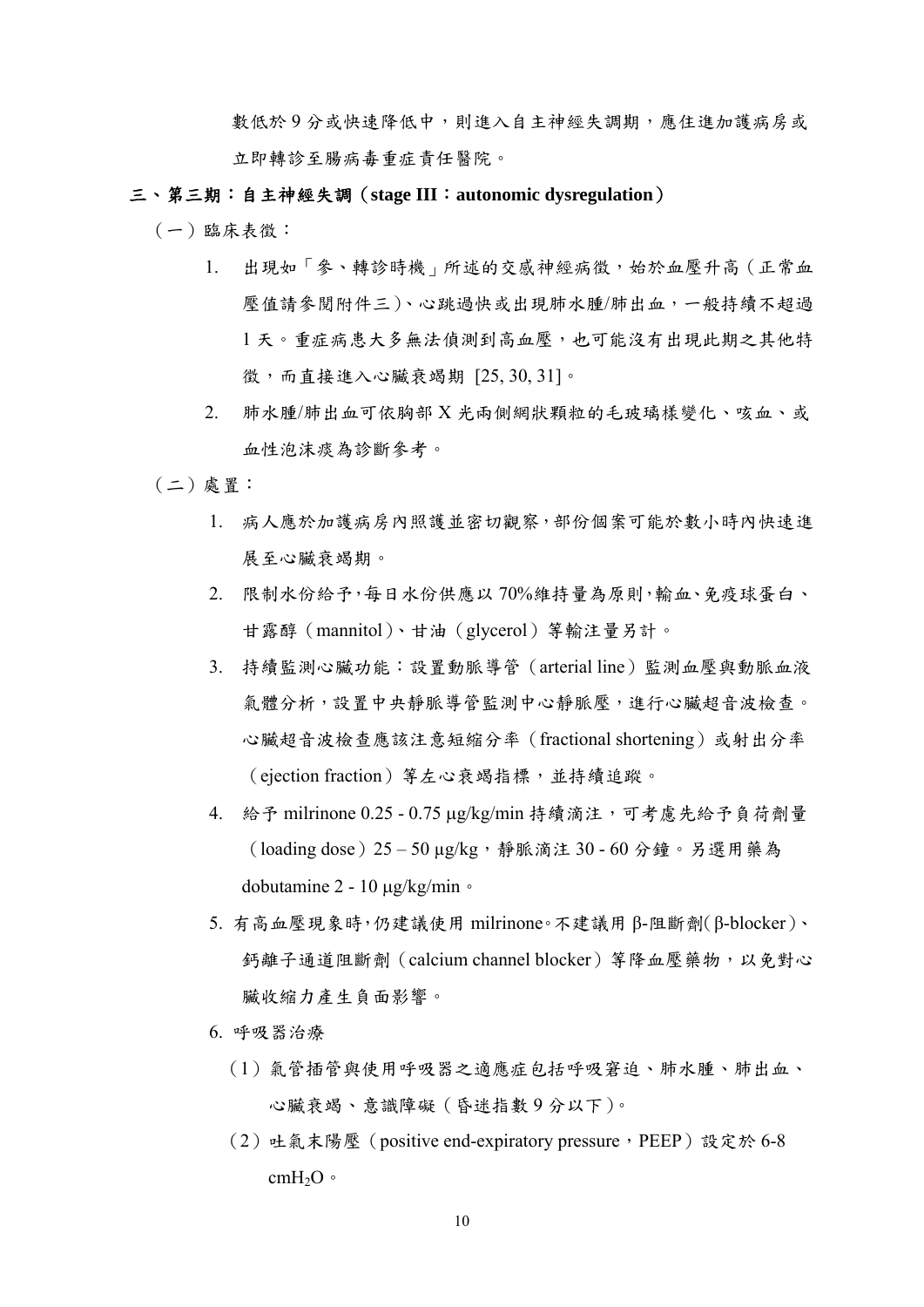數低於9分或快速條低中,則進入自主神經失調期,應住進加護病房或 立即轉診至腸病毒重症責任醫院。

- 三、第三期:自主神經失調(**stage III**:**autonomic dysregulation**)
	- (一)臨床表徵:
		- 1. 出現如「參、轉診時機」所述的交感神經病徵,始於血壓升高(正常血 壓值請參閱附件三)、心跳過快或出現肺水腫/肺出血,一般持續不超過 1天。重症病患大多無法偵測到高血壓,也可能沒有出現此期之其他特 徵,而直接進入心臟衰竭期 [25, 30, 31]。
		- 2. 肺水腫/肺出血可依胸部 X 光兩側網狀顆粒的毛玻璃樣變化、咳血、或 血性泡沫痰為診斷參考。
	- (二)處置:
		- 1. 病人應於加護病房內照護並密切觀察,部份個案可能於數小時內快速進 展至心臟衰竭期。
		- 2. 限制水份給予,每日水份供應以 70%維持量為原則,輸血、免疫球蛋白、 甘露醇(mannitol)、甘油(glycerol)等輸注量另計。
		- 3. 持續監測心臟功能:設置動脈導管(arterial line)監測血壓與動脈血液 氣體分析,設置中央靜脈導管監測中心靜脈壓,進行心臟超音波檢查。 心臟超音波檢查應該注意短縮分率(fractional shortening)或射出分率 (ejection fraction)等左心衰竭指標,並持續追蹤。
		- 4. 給予 milrinone 0.25 0.75 μg/kg/min 持續滴注,可考慮先給予負荷劑量 (loading dose)25 – 50 µg/kg,靜脈滴注 30 - 60 分鐘。另選用藥為 dobutamine 2 - 10 μg/kg/min。
		- 5. 有高血壓現象時,仍建議使用 milrinone。不建議用 β-阻斷劑(β-blocker)、 鈣離子通道阻斷劑(calcium channel blocker)等降血壓藥物,以免對心 臟收縮力產生負面影響。
		- 6. 呼吸器治療
			- (1)氣管插管與使用呼吸器之適應症包括呼吸窘迫、肺水腫、肺出血、 心臟衰竭、意識障礙(昏迷指數 9 分以下)。
			- (2) 吐氣末陽壓 (positive end-expiratory pressure, PEEP)設定於 6-8 cmH2O。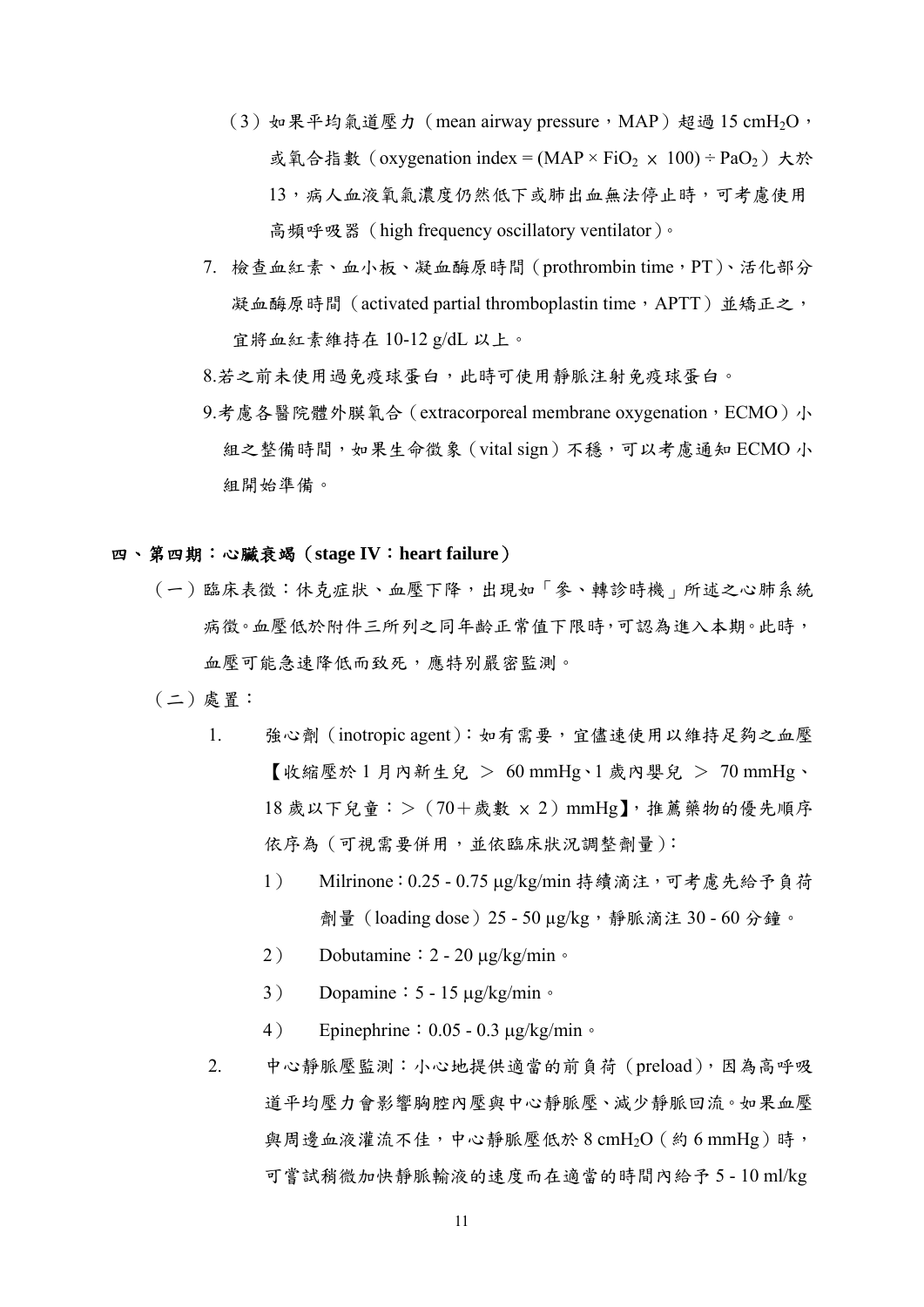- (3) 如果平均氣道壓力 (mean airway pressure, MAP) 超過 15 cmH<sub>2</sub>O, 或氧合指數 (oxygenation index = (MAP × FiO<sub>2</sub> × 100) ÷ PaO<sub>2</sub>) 大於 13,病人血液氧氣濃度仍然低下或肺出血無法停止時,可考慮使用 高頻呼吸器(high frequency oscillatory ventilator)。
- 7. 檢查血紅素、血小板、凝血酶原時間(prothrombin time,PT)、活化部分 凝血酶原時間 (activated partial thromboplastin time, APTT) 並矯正之, 宜將血紅素維持在 10-12 g/dL 以上。
- 8.若之前未使用過免疫球蛋白,此時可使用靜脈注射免疫球蛋白。
- 9.考慮各醫院體外膜氧合 (extracorporeal membrane oxygenation, ECMO)小 組之整備時間,如果生命徵象 (vital sign) 不穩,可以考慮通知 ECMO 小 組開始準備。

### 四、第四期:心臟衰竭(**stage IV**:**heart failure**)

- (一)臨床表徵:休克症狀、血壓下降,出現如「參、轉診時機」所述之心肺系統 病徵。血壓低於附件三所列之同年齡正常值下限時,可認為進入本期。此時, 血壓可能急速降低而致死,應特別嚴密監測。
- (二)處置:
	- 1. 強心劑(inotropic agent):如有需要,宜儘速使用以維持足夠之血壓  $\mathbb{I}$ 收縮壓於 1 月內新生兒 > 60 mmHg、1 歲內嬰兒 > 70 mmHg、 18 歲以下兒童:>(70+歲數 × 2)mmHg】,推薦藥物的優先順序 依序為 (可視需要併用,並依臨床狀況調整劑量):
		- 1) Milrinone:0.25 0.75 μg/kg/min 持續滴注,可考慮先給予負荷 劑量(loading dose)25 - 50 µg/kg,靜脈滴注 30 - 60 分鐘。
		- 2) Dobutamine:  $2 20 \mu g/kg/min \circ$
		- 3) Dopamine:  $5 15 \mu g/kg/min \cdot$
		- 4) Epinephrine:  $0.05 0.3 \text{ µg/kg/min}$
	- 2. 中心靜脈壓監測:小心地提供適當的前負荷(preload),因為高呼吸 道平均壓力會影響胸腔內壓與中心靜脈壓、減少靜脈回流。如果血壓 與周邊血液灌流不佳,中心靜脈壓低於 8 cmH2O (約 6 mmHg)時, 可嘗試稍微加快靜脈輸液的速度而在適當的時間內給予 5 - 10 ml/kg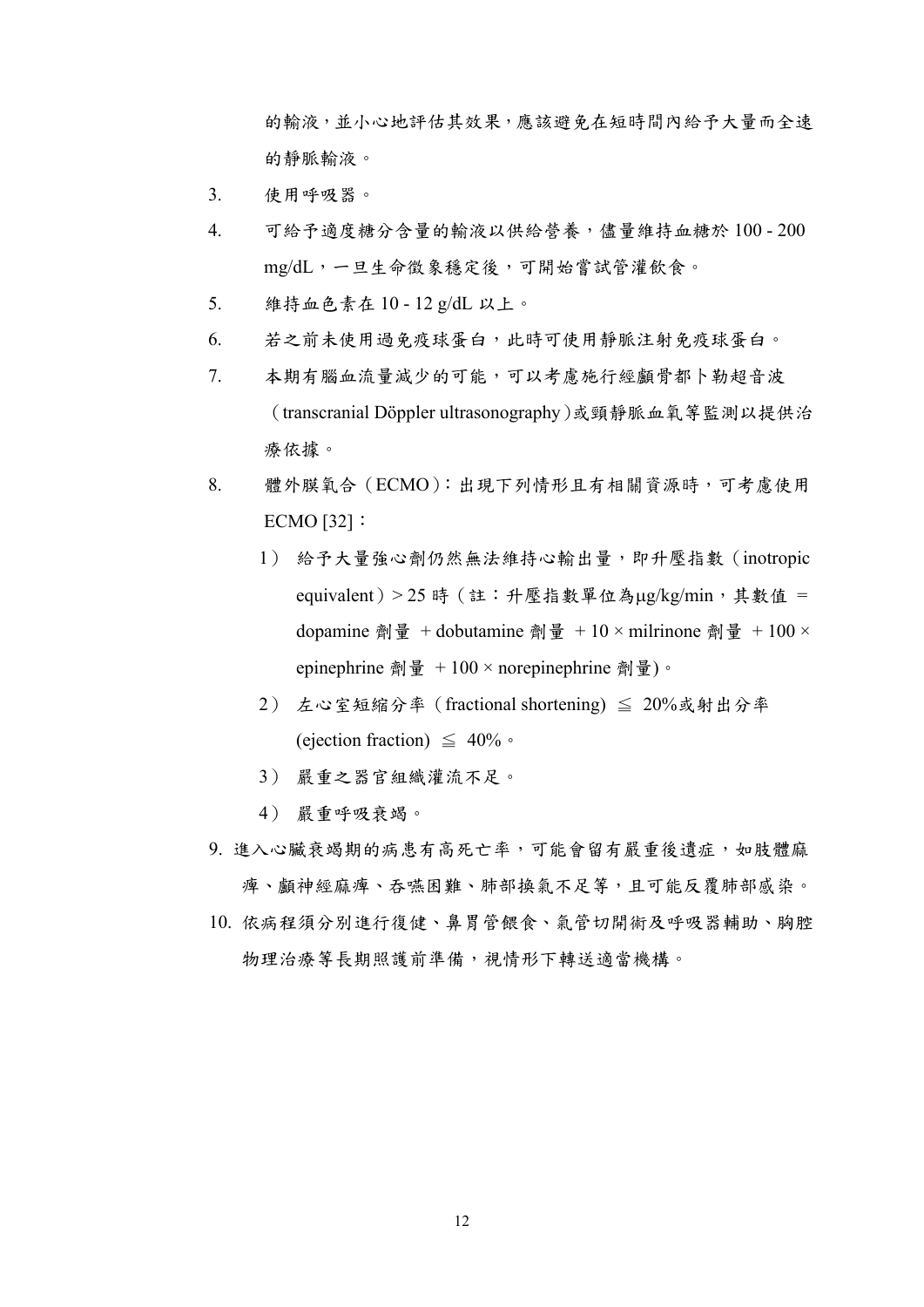的輸液,並小心地評估其效果,應該避免在短時間內給予大量而全速 的靜脈輸液。

- 3. 使用呼吸器。
- 4. 可給予適度糖分含量的輸液以供給營養,儘量維持血糖於 100 200 mg/dL,一旦生命徵象穩定後,可開始嘗試管灌飲食。
- 5. 維持血色素在 10 12 g/dL 以上。
- 6. 若之前未使用過免疫球蛋白,此時可使用靜脈注射免疫球蛋白。
- 7. 本期有腦血流量減少的可能,可以考慮施行經顱骨都卜勒超音波 (transcranial Döppler ultrasonography)或頸靜脈血氧等監測以提供治 療依據。
- 8. 體外膜氧合(ECMO):出現下列情形且有相關資源時,可考慮使用 ECMO [32]:
	- 1) 給予大量強心劑仍然無法維持心輸出量,即升壓指數(inotropic  $equivalent$ ) > 25 時 (註:升壓指數單位為μg/kg/min,其數值 = dopamine 劑量 + dobutamine 劑量 + 10 × milrinone 劑量 + 100 × epinephrine 劑量 + 100 × norepinephrine 劑量)。
	- 2) 左心室短縮分率(fractional shortening) ≦ 20%或射出分率 (ejection fraction)  $\leq 40\%$
	- 3) 嚴重之器官組織灌流不足。
	- 4) 嚴重呼吸衰竭。
- 9. 進入心臟衰竭期的病患有高死亡率,可能會留有嚴重後遺症,如肢體麻 痺、顱神經麻痺、吞嚥困難、肺部換氣不足等,且可能反覆肺部感染。
- 10. 依病程須分別進行復健、鼻胃管餵食、氣管切開術及呼吸器輔助、胸腔 物理治療等長期照護前準備,視情形下轉送適當機構。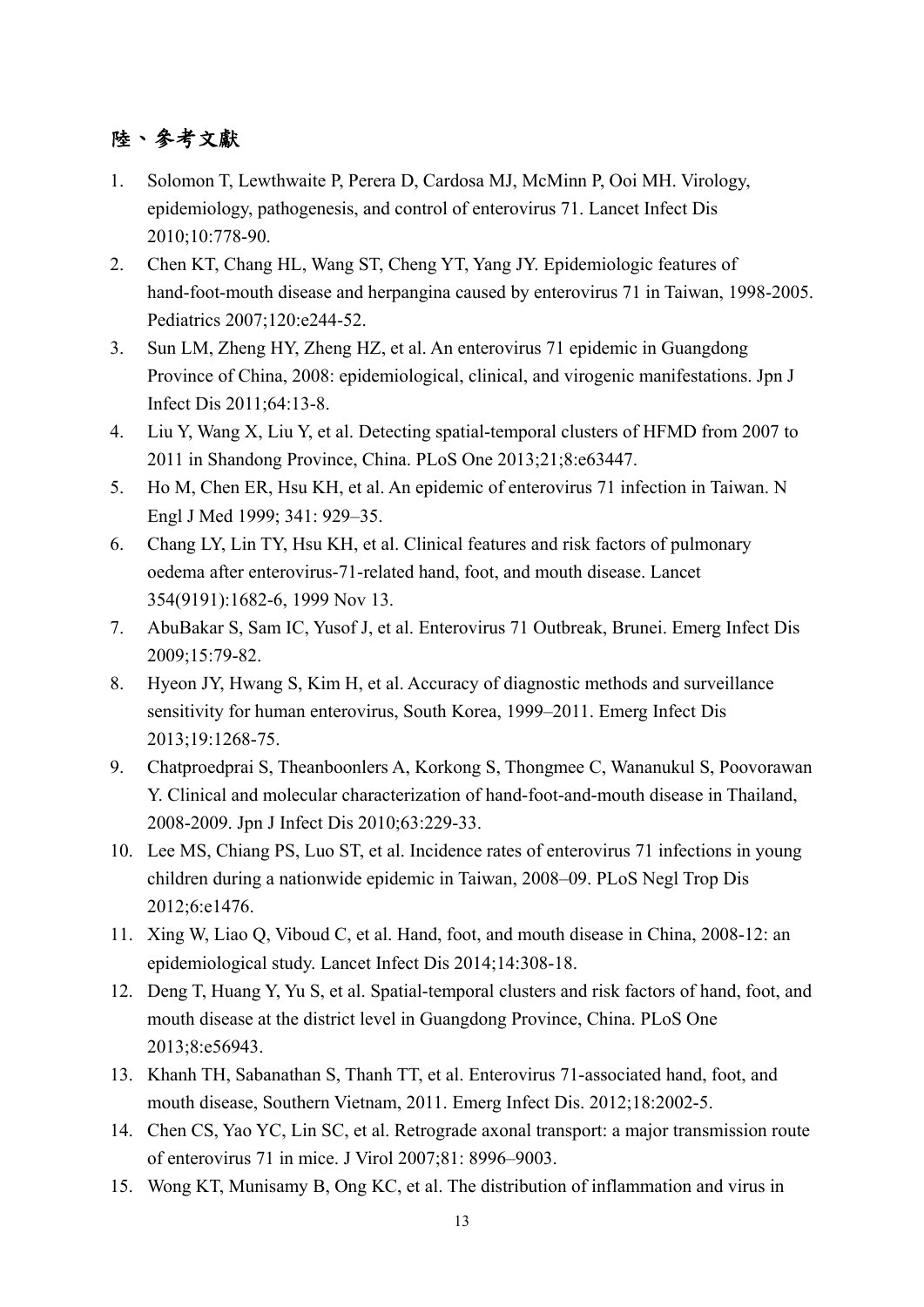## 陸、參考文獻

- 1. Solomon T, Lewthwaite P, Perera D, Cardosa MJ, McMinn P, Ooi MH. Virology, epidemiology, pathogenesis, and control of enterovirus 71. Lancet Infect Dis 2010;10:778-90.
- 2. Chen KT, Chang HL, Wang ST, Cheng YT, Yang JY. Epidemiologic features of hand-foot-mouth disease and herpangina caused by enterovirus 71 in Taiwan, 1998-2005. Pediatrics 2007;120:e244-52.
- 3. Sun LM, Zheng HY, Zheng HZ, et al. An enterovirus 71 epidemic in Guangdong Province of China, 2008: epidemiological, clinical, and virogenic manifestations. Jpn J Infect Dis 2011;64:13-8.
- 4. Liu Y, Wang X, Liu Y, et al. Detecting spatial-temporal clusters of HFMD from 2007 to 2011 in Shandong Province, China. PLoS One 2013;21;8:e63447.
- 5. Ho M, Chen ER, Hsu KH, et al. An epidemic of enterovirus 71 infection in Taiwan. N Engl J Med 1999; 341: 929–35.
- 6. Chang LY, Lin TY, Hsu KH, et al. Clinical features and risk factors of pulmonary oedema after enterovirus-71-related hand, foot, and mouth disease. Lancet 354(9191):1682-6, 1999 Nov 13.
- 7. AbuBakar S, Sam IC, Yusof J, et al. Enterovirus 71 Outbreak, Brunei. Emerg Infect Dis 2009;15:79-82.
- 8. Hyeon JY, Hwang S, Kim H, et al. Accuracy of diagnostic methods and surveillance sensitivity for human enterovirus, South Korea, 1999–2011. Emerg Infect Dis 2013;19:1268-75.
- 9. Chatproedprai S, Theanboonlers A, Korkong S, Thongmee C, Wananukul S, Poovorawan Y. Clinical and molecular characterization of hand-foot-and-mouth disease in Thailand, 2008-2009. Jpn J Infect Dis 2010;63:229-33.
- 10. Lee MS, Chiang PS, Luo ST, et al. Incidence rates of enterovirus 71 infections in young children during a nationwide epidemic in Taiwan, 2008–09. PLoS Negl Trop Dis 2012;6:e1476.
- 11. Xing W, Liao Q, Viboud C, et al. Hand, foot, and mouth disease in China, 2008-12: an epidemiological study. Lancet Infect Dis 2014;14:308-18.
- 12. Deng T, Huang Y, Yu S, et al. Spatial-temporal clusters and risk factors of hand, foot, and mouth disease at the district level in Guangdong Province, China. PLoS One 2013;8:e56943.
- 13. Khanh TH, Sabanathan S, Thanh TT, et al. Enterovirus 71-associated hand, foot, and mouth disease, Southern Vietnam, 2011. Emerg Infect Dis. 2012;18:2002-5.
- 14. Chen CS, Yao YC, Lin SC, et al. Retrograde axonal transport: a major transmission route of enterovirus 71 in mice. J Virol 2007;81: 8996–9003.
- 15. Wong KT, Munisamy B, Ong KC, et al. The distribution of inflammation and virus in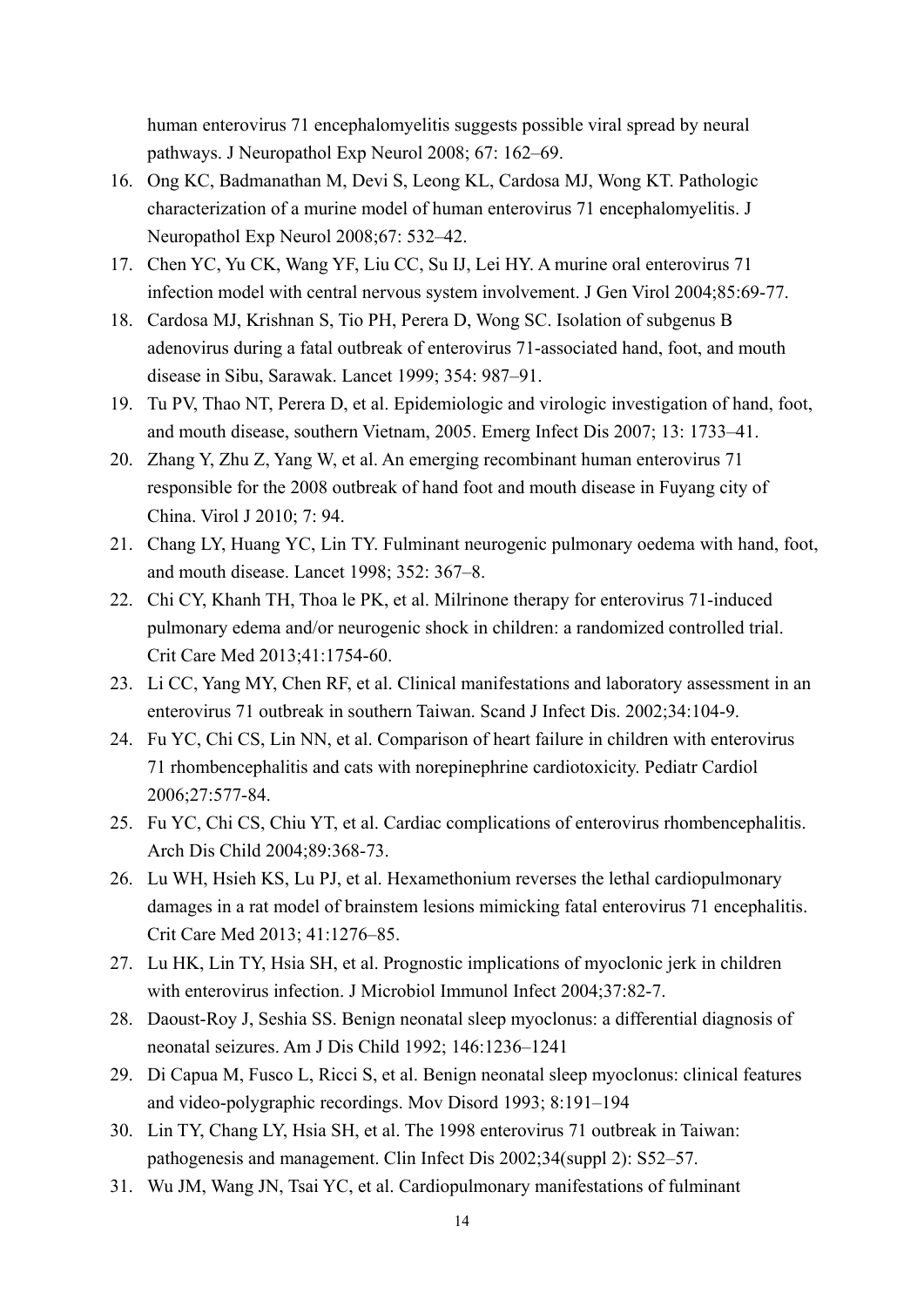human enterovirus 71 encephalomyelitis suggests possible viral spread by neural pathways. J Neuropathol Exp Neurol 2008; 67: 162–69.

- 16. Ong KC, Badmanathan M, Devi S, Leong KL, Cardosa MJ, Wong KT. Pathologic characterization of a murine model of human enterovirus 71 encephalomyelitis. J Neuropathol Exp Neurol 2008;67: 532–42.
- 17. Chen YC, Yu CK, Wang YF, Liu CC, Su IJ, Lei HY. A murine oral enterovirus 71 infection model with central nervous system involvement. J Gen Virol 2004;85:69-77.
- 18. Cardosa MJ, Krishnan S, Tio PH, Perera D, Wong SC. Isolation of subgenus B adenovirus during a fatal outbreak of enterovirus 71-associated hand, foot, and mouth disease in Sibu, Sarawak. Lancet 1999; 354: 987–91.
- 19. Tu PV, Thao NT, Perera D, et al. Epidemiologic and virologic investigation of hand, foot, and mouth disease, southern Vietnam, 2005. Emerg Infect Dis 2007; 13: 1733–41.
- 20. Zhang Y, Zhu Z, Yang W, et al. An emerging recombinant human enterovirus 71 responsible for the 2008 outbreak of hand foot and mouth disease in Fuyang city of China. Virol J 2010; 7: 94.
- 21. Chang LY, Huang YC, Lin TY. Fulminant neurogenic pulmonary oedema with hand, foot, and mouth disease. Lancet 1998; 352: 367–8.
- 22. Chi CY, Khanh TH, Thoa le PK, et al. Milrinone therapy for enterovirus 71-induced pulmonary edema and/or neurogenic shock in children: a randomized controlled trial. Crit Care Med 2013;41:1754-60.
- 23. Li CC, Yang MY, Chen RF, et al. Clinical manifestations and laboratory assessment in an enterovirus 71 outbreak in southern Taiwan. Scand J Infect Dis. 2002;34:104-9.
- 24. Fu YC, Chi CS, Lin NN, et al. Comparison of heart failure in children with enterovirus 71 rhombencephalitis and cats with norepinephrine cardiotoxicity. Pediatr Cardiol 2006;27:577-84.
- 25. Fu YC, Chi CS, Chiu YT, et al. Cardiac complications of enterovirus rhombencephalitis. Arch Dis Child 2004;89:368-73.
- 26. Lu WH, Hsieh KS, Lu PJ, et al. Hexamethonium reverses the lethal cardiopulmonary damages in a rat model of brainstem lesions mimicking fatal enterovirus 71 encephalitis. Crit Care Med 2013; 41:1276–85.
- 27. Lu HK, Lin TY, Hsia SH, et al. Prognostic implications of myoclonic jerk in children with enterovirus infection. J Microbiol Immunol Infect 2004;37:82-7.
- 28. Daoust-Roy J, Seshia SS. Benign neonatal sleep myoclonus: a differential diagnosis of neonatal seizures. Am J Dis Child 1992; 146:1236–1241
- 29. Di Capua M, Fusco L, Ricci S, et al. Benign neonatal sleep myoclonus: clinical features and video-polygraphic recordings. Mov Disord 1993; 8:191–194
- 30. Lin TY, Chang LY, Hsia SH, et al. The 1998 enterovirus 71 outbreak in Taiwan: pathogenesis and management. Clin Infect Dis 2002;34(suppl 2): S52–57.
- 31. Wu JM, Wang JN, Tsai YC, et al. Cardiopulmonary manifestations of fulminant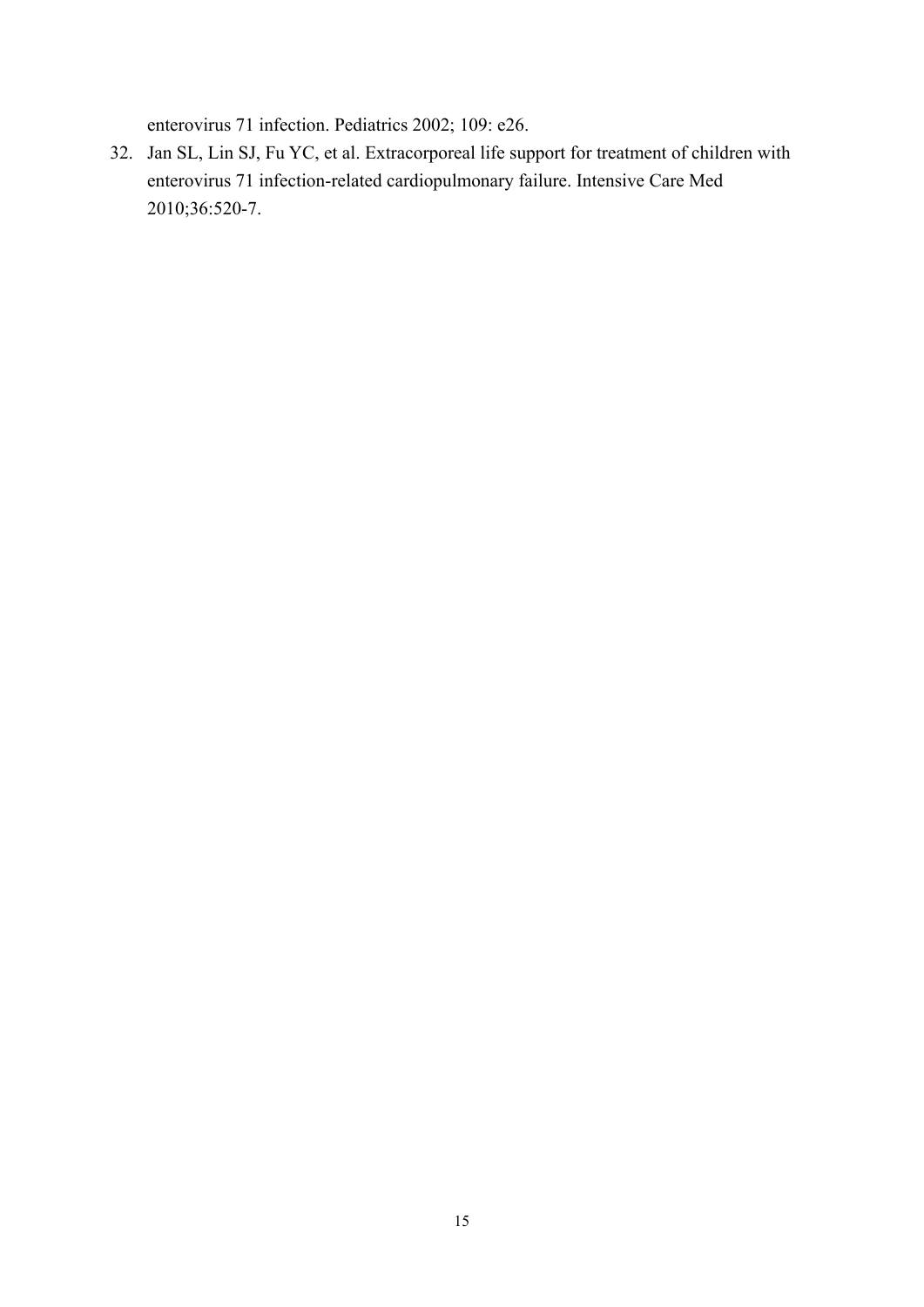enterovirus 71 infection. Pediatrics 2002; 109: e26.

32. Jan SL, Lin SJ, Fu YC, et al. Extracorporeal life support for treatment of children with enterovirus 71 infection-related cardiopulmonary failure. Intensive Care Med 2010;36:520-7.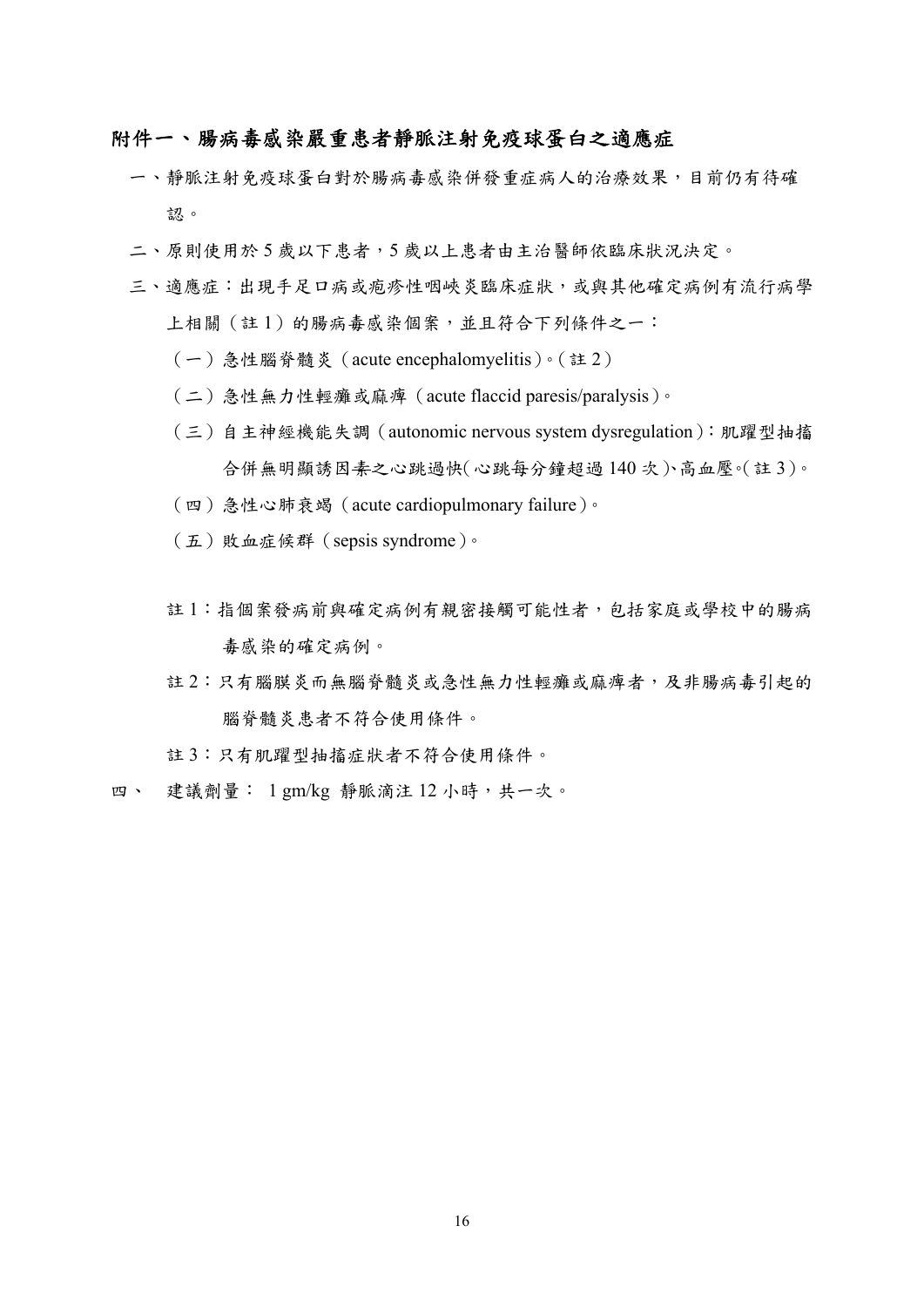### 附件一、腸病毒感染嚴重患者靜脈注射免疫球蛋白之適應症

- 一、靜脈注射免疫球蛋白對於腸病毒感染併發重症病人的治療效果,目前仍有待確 認。
- 二、原則使用於 5 歲以下患者,5 歲以上患者由主治醫師依臨床狀況決定。
- 三、適應症:出現手足口病或疱疹性咽峽炎臨床症狀,或與其他確定病例有流行病學 上相關(註1)的腸病毒感染個案,並且符合下列條件之一:
	- (一)急性腦脊髓炎(acute encephalomyelitis)。(註 2)
	- (二)急性無力性輕癱或麻痺(acute flaccid paresis/paralysis)。
	- (三)自主神經機能失調(autonomic nervous system dysregulation):肌躍型抽搐 合併無明顯誘因素之心跳過快(心跳每分鐘超過 140 次)、高血壓。(註 3)。
	- (四)急性心肺衰竭(acute cardiopulmonary failure)。
	- (五)敗血症候群(sepsis syndrome)。
	- 註 1:指個案發病前與確定病例有親密接觸可能性者,包括家庭或學校中的腸病 毒感染的確定病例。
	- 註 2:只有腦膜炎而無腦脊髓炎或急性無力性輕癱或麻痺者,及非腸病毒引起的 腦脊髓炎患者不符合使用條件。
	- 註 3:只有肌躍型抽搐症狀者不符合使用條件。
- 四、 建議劑量: 1 gm/kg 靜脈滴注 12 小時,共一次。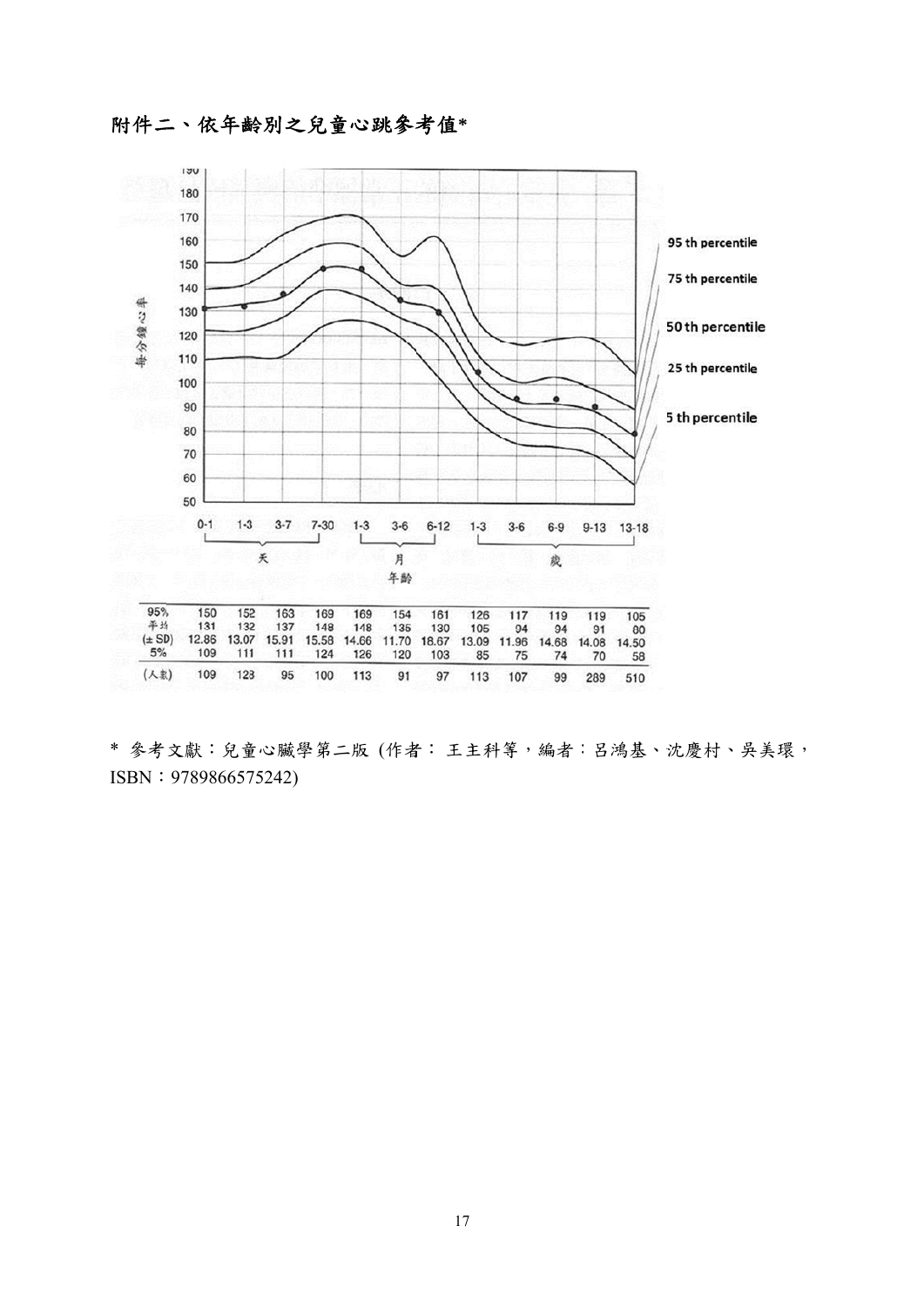附件二、依年齡別之兒童心跳參考值\*



\* 參考文獻:兒童心臟學第二版 (作者:王主科等,編者:呂鴻基、沈慶村、吳美環, ISBN: 978986657 5242)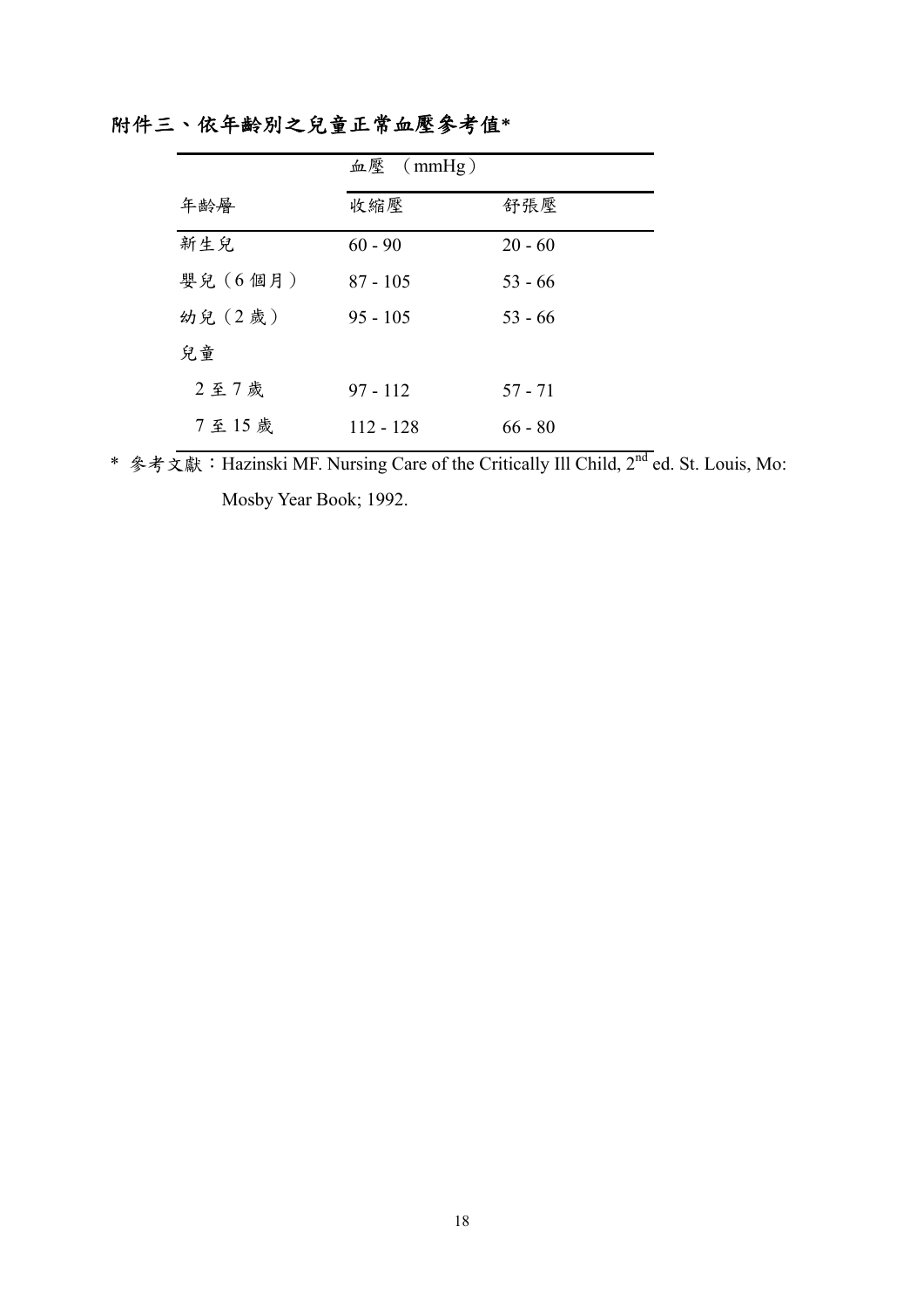|         | 血壓 $(mmHg)$ |           |
|---------|-------------|-----------|
| 年齢層     | 收縮壓         | 舒張壓       |
| 新生兒     | $60 - 90$   | $20 - 60$ |
| 嬰兒(6個月) | $87 - 105$  | $53 - 66$ |
| 幼兒 (2歲) | $95 - 105$  | $53 - 66$ |
| 兒童      |             |           |
| 2至7歲    | $97 - 112$  | $57 - 71$ |
| 7至15歲   | $112 - 128$ | $66 - 80$ |

附件三、依年齡別之兒童正常血壓參考值**\*** 

\* 参考文獻: Hazinski MF. Nursing Care of the Critically Ill Child, 2<sup>nd</sup> ed. St. Louis, Mo: Mosby Year Book; 1992.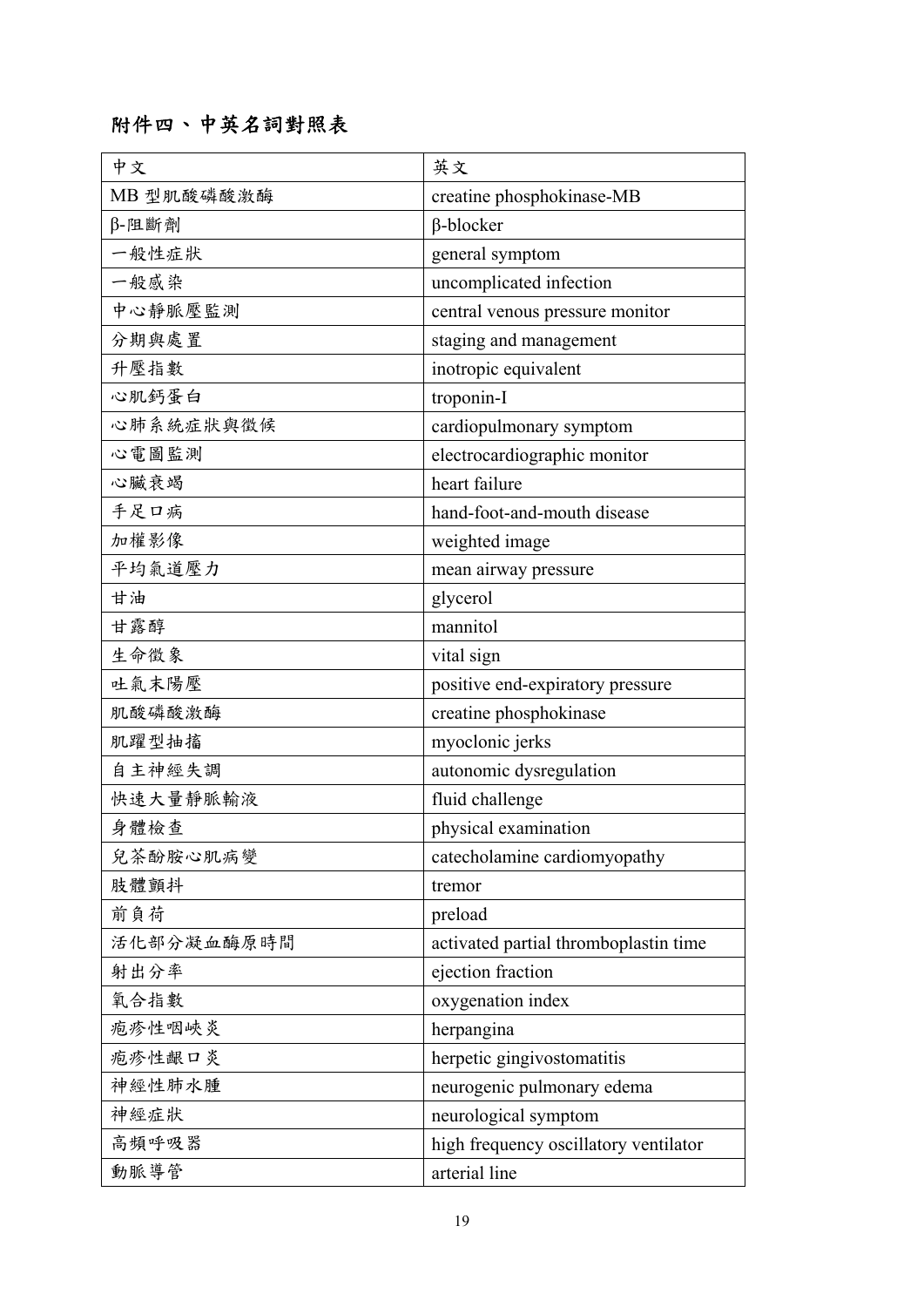# 附件四、中英名詞對照表

| 中文         | 英文                                    |
|------------|---------------------------------------|
| MB 型肌酸磷酸激酶 | creatine phosphokinase-MB             |
| β-阻斷劑      | $\beta$ -blocker                      |
| 一般性症狀      | general symptom                       |
| 一般感染       | uncomplicated infection               |
| 中心靜脈壓監測    | central venous pressure monitor       |
| 分期與處置      | staging and management                |
| 升壓指數       | inotropic equivalent                  |
| 心肌鈣蛋白      | troponin-I                            |
| 心肺系統症狀與徵候  | cardiopulmonary symptom               |
| 心電圖監測      | electrocardiographic monitor          |
| 心臟衰竭       | heart failure                         |
| 手足口病       | hand-foot-and-mouth disease           |
| 加權影像       | weighted image                        |
| 平均氣道壓力     | mean airway pressure                  |
| 甘油         | glycerol                              |
| 甘露醇        | mannitol                              |
| 生命徵象       | vital sign                            |
| 吐氣末陽壓      | positive end-expiratory pressure      |
| 肌酸磷酸激酶     | creatine phosphokinase                |
| 肌躍型抽搐      | myoclonic jerks                       |
| 自主神經失調     | autonomic dysregulation               |
| 快速大量靜脈輸液   | fluid challenge                       |
| 身體檢查       | physical examination                  |
| 兒茶酚胺心肌病變   | catecholamine cardiomyopathy          |
| 肢體顫抖       | tremor                                |
| 前負荷        | preload                               |
| 活化部分凝血酶原時間 | activated partial thromboplastin time |
| 射出分率       | ejection fraction                     |
| 氧合指數       | oxygenation index                     |
| 疱疹性咽峽炎     | herpangina                            |
| 疱疹性齦口炎     | herpetic gingivostomatitis            |
| 神經性肺水腫     | neurogenic pulmonary edema            |
| 神經症狀       | neurological symptom                  |
| 高頻呼吸器      | high frequency oscillatory ventilator |
| 動脈導管       | arterial line                         |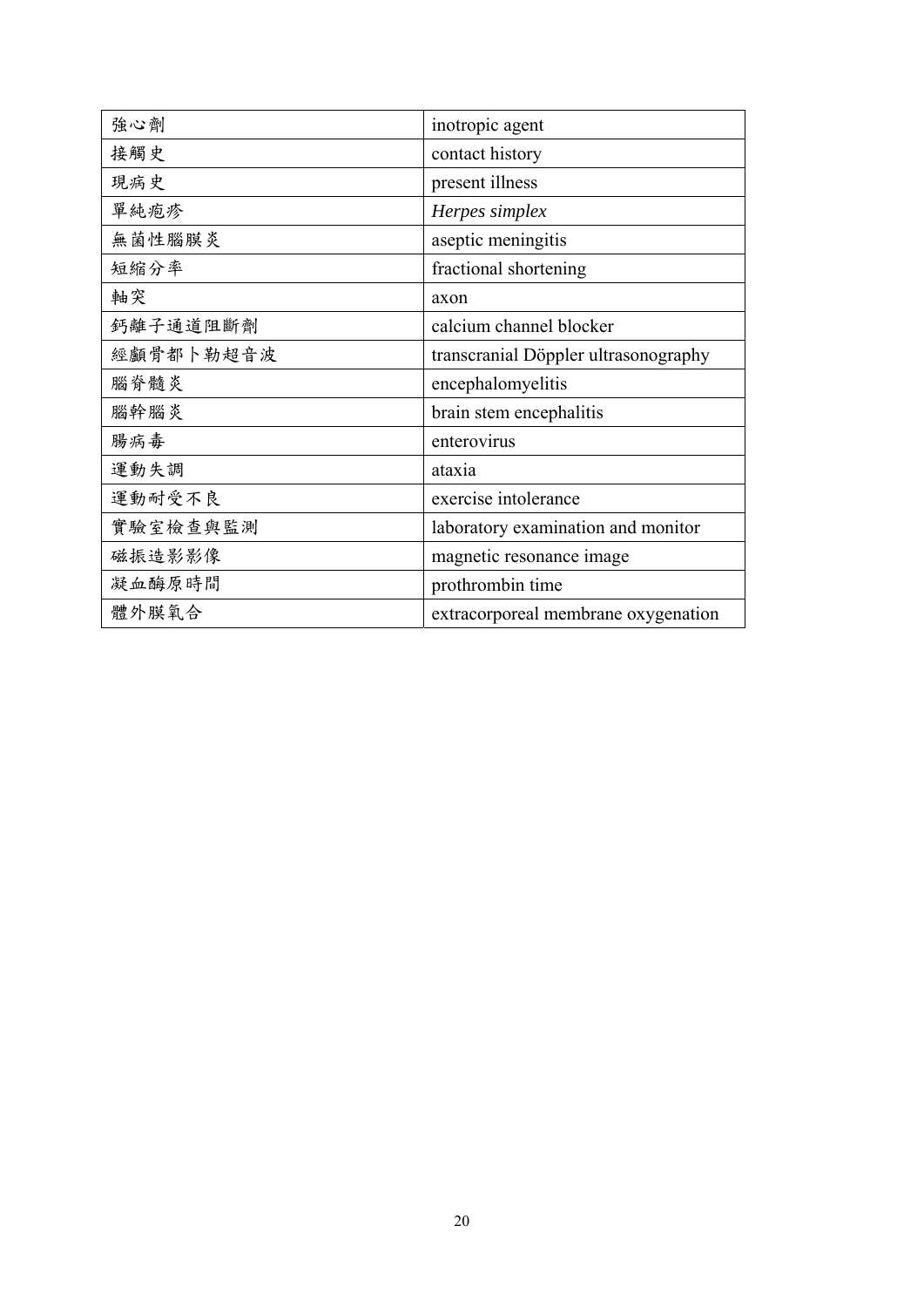| 強心劑       | inotropic agent                      |
|-----------|--------------------------------------|
| 接觸史       | contact history                      |
| 現病史       | present illness                      |
| 單純疱疹      | Herpes simplex                       |
| 無菌性腦膜炎    | aseptic meningitis                   |
| 短縮分率      | fractional shortening                |
| 軸突        | axon                                 |
| 鈣離子通道阻斷劑  | calcium channel blocker              |
| 經顱骨都卜勒超音波 | transcranial Döppler ultrasonography |
| 腦脊髓炎      | encephalomyelitis                    |
| 腦幹腦炎      | brain stem encephalitis              |
| 腸病毒       | enterovirus                          |
| 運動失調      | ataxia                               |
| 運動耐受不良    | exercise intolerance                 |
| 實驗室檢查與監測  | laboratory examination and monitor   |
| 磁振造影影像    | magnetic resonance image             |
| 凝血酶原時間    | prothrombin time                     |
| 體外膜氧合     | extracorporeal membrane oxygenation  |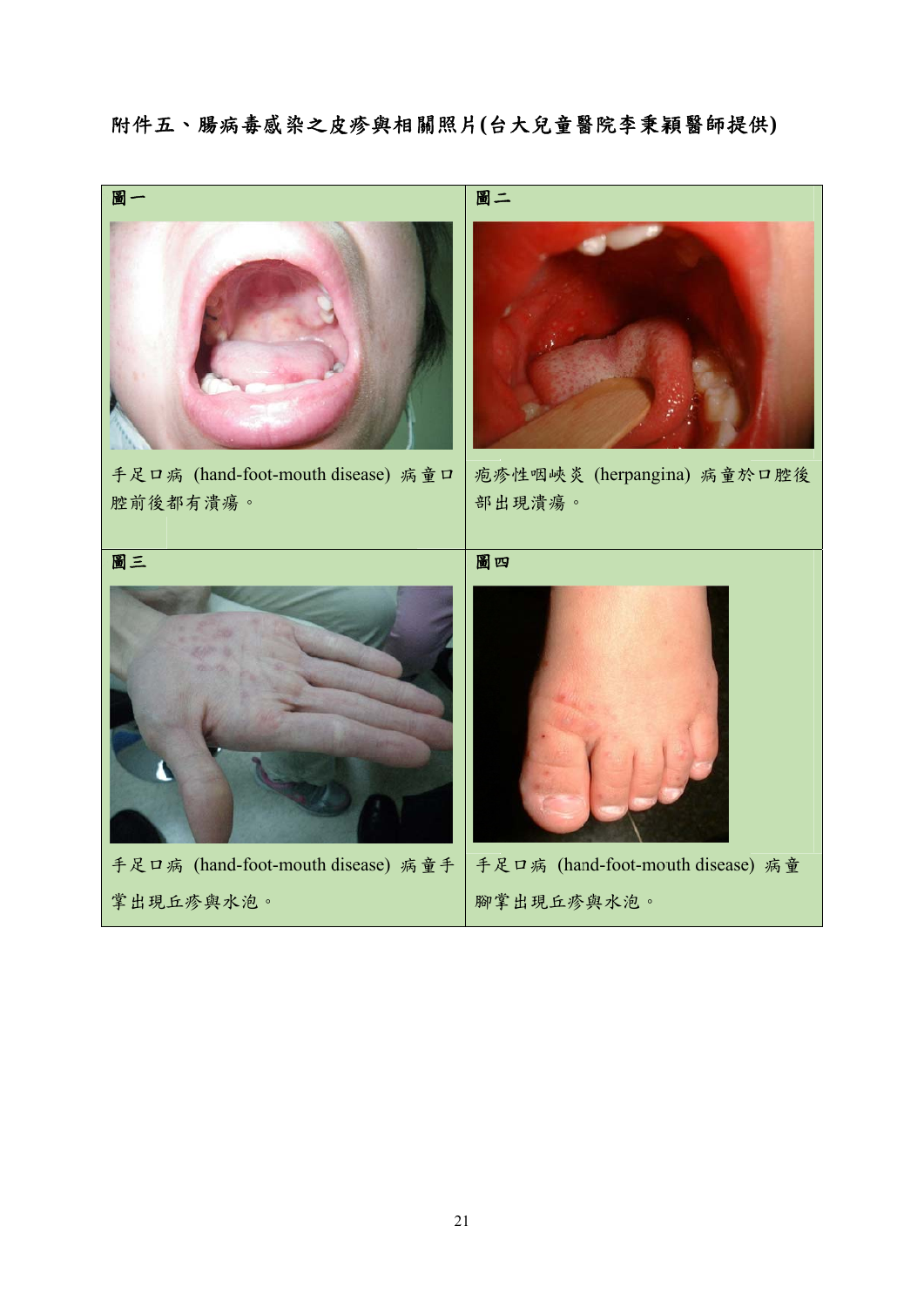附件五、腸病毒感染之皮疹與相關照片(台大兒童醫院李秉穎醫師提供)